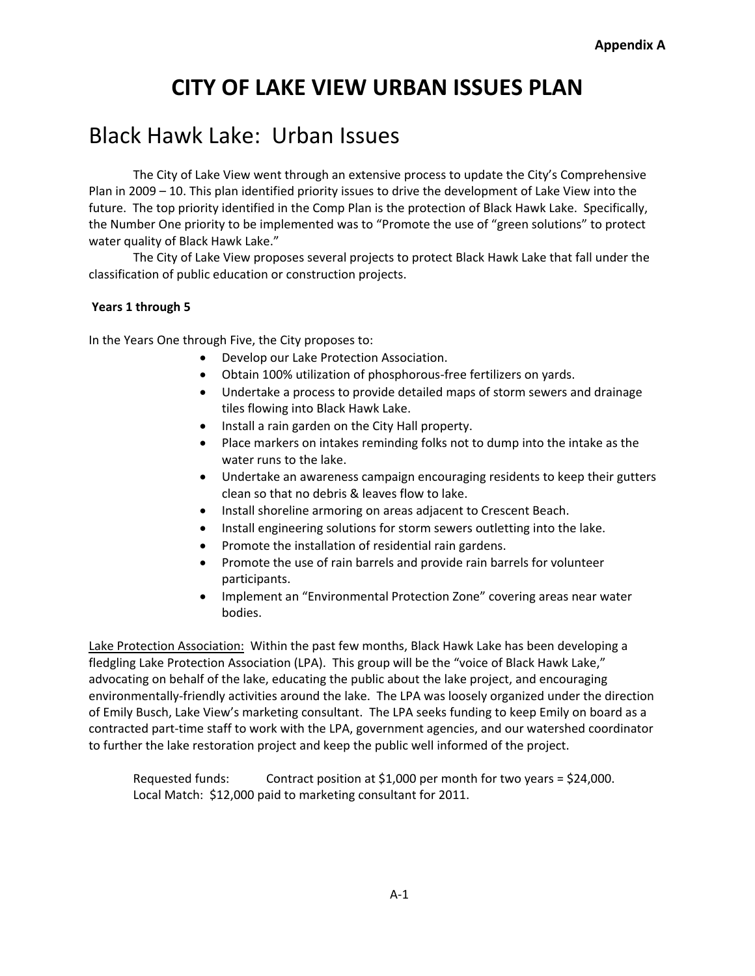# **CITY OF LAKE VIEW URBAN ISSUES PLAN**

# Black Hawk Lake: Urban Issues

The City of Lake View went through an extensive process to update the City's Comprehensive Plan in 2009 – 10. This plan identified priority issues to drive the development of Lake View into the future. The top priority identified in the Comp Plan is the protection of Black Hawk Lake. Specifically, the Number One priority to be implemented was to "Promote the use of "green solutions" to protect water quality of Black Hawk Lake."

The City of Lake View proposes several projects to protect Black Hawk Lake that fall under the classification of public education or construction projects.

# **Years 1 through 5**

In the Years One through Five, the City proposes to:

- Develop our Lake Protection Association.
- Obtain 100% utilization of phosphorous‐free fertilizers on yards.
- Undertake a process to provide detailed maps of storm sewers and drainage tiles flowing into Black Hawk Lake.
- Install a rain garden on the City Hall property.
- Place markers on intakes reminding folks not to dump into the intake as the water runs to the lake.
- Undertake an awareness campaign encouraging residents to keep their gutters clean so that no debris & leaves flow to lake.
- Install shoreline armoring on areas adjacent to Crescent Beach.
- Install engineering solutions for storm sewers outletting into the lake.
- Promote the installation of residential rain gardens.
- Promote the use of rain barrels and provide rain barrels for volunteer participants.
- Implement an "Environmental Protection Zone" covering areas near water bodies.

Lake Protection Association: Within the past few months, Black Hawk Lake has been developing a fledgling Lake Protection Association (LPA). This group will be the "voice of Black Hawk Lake," advocating on behalf of the lake, educating the public about the lake project, and encouraging environmentally‐friendly activities around the lake. The LPA was loosely organized under the direction of Emily Busch, Lake View's marketing consultant. The LPA seeks funding to keep Emily on board as a contracted part‐time staff to work with the LPA, government agencies, and our watershed coordinator to further the lake restoration project and keep the public well informed of the project.

Requested funds: Contract position at \$1,000 per month for two years = \$24,000. Local Match: \$12,000 paid to marketing consultant for 2011.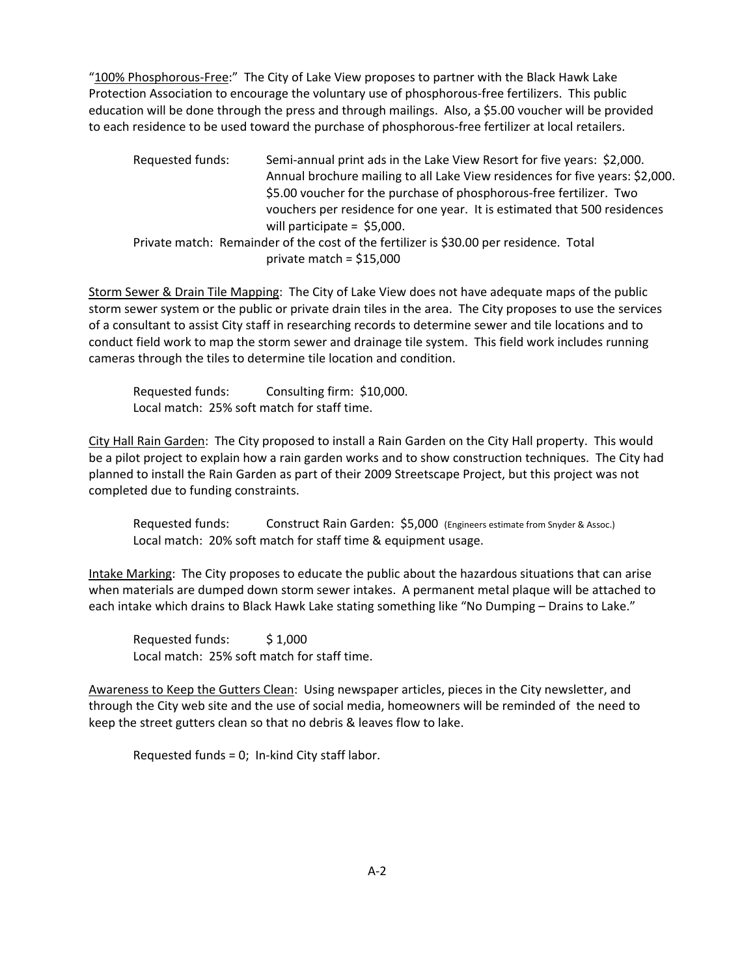"100% Phosphorous‐Free:" The City of Lake View proposes to partner with the Black Hawk Lake Protection Association to encourage the voluntary use of phosphorous-free fertilizers. This public education will be done through the press and through mailings. Also, a \$5.00 voucher will be provided to each residence to be used toward the purchase of phosphorous‐free fertilizer at local retailers.

| Requested funds: | Semi-annual print ads in the Lake View Resort for five years: \$2,000.                 |
|------------------|----------------------------------------------------------------------------------------|
|                  | Annual brochure mailing to all Lake View residences for five years: \$2,000.           |
|                  | \$5.00 voucher for the purchase of phosphorous-free fertilizer. Two                    |
|                  | vouchers per residence for one year. It is estimated that 500 residences               |
|                  | will participate = $$5,000$ .                                                          |
|                  | Private match: Remainder of the cost of the fertilizer is \$30.00 per residence. Total |
|                  |                                                                                        |

private match = \$15,000

Storm Sewer & Drain Tile Mapping: The City of Lake View does not have adequate maps of the public storm sewer system or the public or private drain tiles in the area. The City proposes to use the services of a consultant to assist City staff in researching records to determine sewer and tile locations and to conduct field work to map the storm sewer and drainage tile system. This field work includes running cameras through the tiles to determine tile location and condition.

Requested funds: Consulting firm: \$10,000. Local match: 25% soft match for staff time.

City Hall Rain Garden: The City proposed to install a Rain Garden on the City Hall property. This would be a pilot project to explain how a rain garden works and to show construction techniques. The City had planned to install the Rain Garden as part of their 2009 Streetscape Project, but this project was not completed due to funding constraints.

Requested funds: Construct Rain Garden: \$5,000 (Engineers estimate from Snyder & Assoc.) Local match: 20% soft match for staff time & equipment usage.

Intake Marking: The City proposes to educate the public about the hazardous situations that can arise when materials are dumped down storm sewer intakes. A permanent metal plaque will be attached to each intake which drains to Black Hawk Lake stating something like "No Dumping – Drains to Lake."

Requested funds: \$ 1,000 Local match: 25% soft match for staff time.

Awareness to Keep the Gutters Clean: Using newspaper articles, pieces in the City newsletter, and through the City web site and the use of social media, homeowners will be reminded of the need to keep the street gutters clean so that no debris & leaves flow to lake.

Requested funds = 0; In‐kind City staff labor.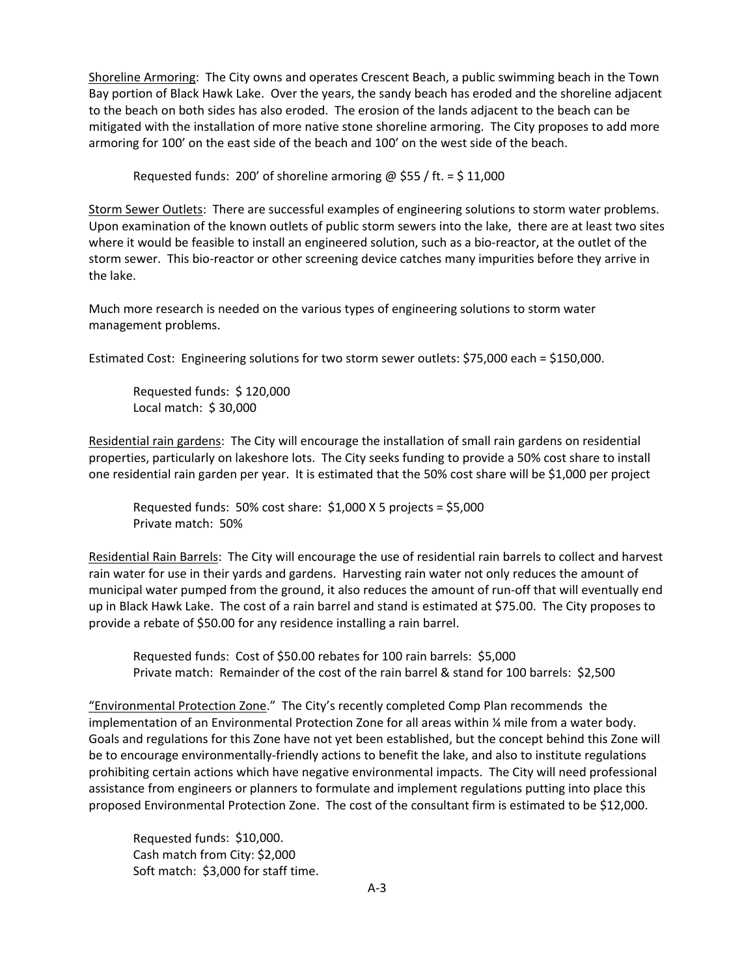Shoreline Armoring: The City owns and operates Crescent Beach, a public swimming beach in the Town Bay portion of Black Hawk Lake. Over the years, the sandy beach has eroded and the shoreline adjacent to the beach on both sides has also eroded. The erosion of the lands adjacent to the beach can be mitigated with the installation of more native stone shoreline armoring. The City proposes to add more armoring for 100' on the east side of the beach and 100' on the west side of the beach.

Requested funds: 200' of shoreline armoring  $\omega$  \$55 / ft. = \$11,000

Storm Sewer Outlets: There are successful examples of engineering solutions to storm water problems. Upon examination of the known outlets of public storm sewers into the lake, there are at least two sites where it would be feasible to install an engineered solution, such as a bio-reactor, at the outlet of the storm sewer. This bio-reactor or other screening device catches many impurities before they arrive in the lake.

Much more research is needed on the various types of engineering solutions to storm water management problems.

Estimated Cost: Engineering solutions for two storm sewer outlets: \$75,000 each = \$150,000.

Requested funds: \$ 120,000 Local match: \$ 30,000

Residential rain gardens: The City will encourage the installation of small rain gardens on residential properties, particularly on lakeshore lots. The City seeks funding to provide a 50% cost share to install one residential rain garden per year. It is estimated that the 50% cost share will be \$1,000 per project

Requested funds: 50% cost share:  $$1,000$  X 5 projects =  $$5,000$ Private match: 50%

Residential Rain Barrels: The City will encourage the use of residential rain barrels to collect and harvest rain water for use in their yards and gardens. Harvesting rain water not only reduces the amount of municipal water pumped from the ground, it also reduces the amount of run-off that will eventually end up in Black Hawk Lake. The cost of a rain barrel and stand is estimated at \$75.00. The City proposes to provide a rebate of \$50.00 for any residence installing a rain barrel.

Requested funds: Cost of \$50.00 rebates for 100 rain barrels: \$5,000 Private match: Remainder of the cost of the rain barrel & stand for 100 barrels: \$2,500

"Environmental Protection Zone." The City's recently completed Comp Plan recommends the implementation of an Environmental Protection Zone for all areas within ¼ mile from a water body. Goals and regulations for this Zone have not yet been established, but the concept behind this Zone will be to encourage environmentally-friendly actions to benefit the lake, and also to institute regulations prohibiting certain actions which have negative environmental impacts. The City will need professional assistance from engineers or planners to formulate and implement regulations putting into place this proposed Environmental Protection Zone. The cost of the consultant firm is estimated to be \$12,000.

Requested funds: \$10,000. Cash match from City: \$2,000 Soft match: \$3,000 for staff time.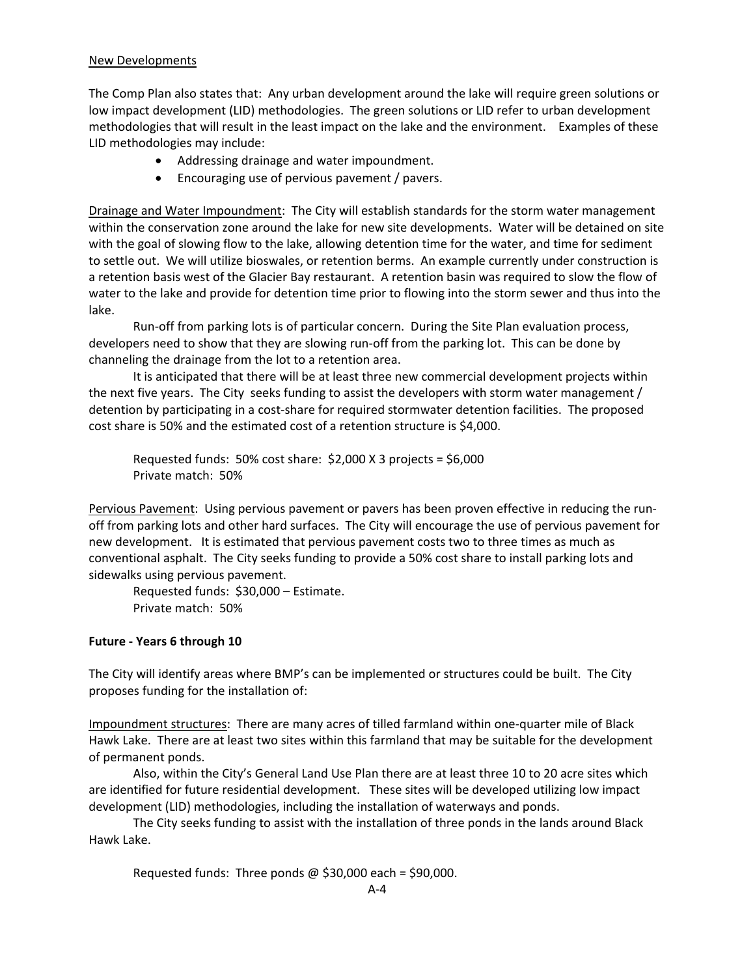## New Developments

The Comp Plan also states that: Any urban development around the lake will require green solutions or low impact development (LID) methodologies. The green solutions or LID refer to urban development methodologies that will result in the least impact on the lake and the environment. Examples of these LID methodologies may include:

- Addressing drainage and water impoundment.
- Encouraging use of pervious pavement / pavers.

Drainage and Water Impoundment: The City will establish standards for the storm water management within the conservation zone around the lake for new site developments. Water will be detained on site with the goal of slowing flow to the lake, allowing detention time for the water, and time for sediment to settle out. We will utilize bioswales, or retention berms. An example currently under construction is a retention basis west of the Glacier Bay restaurant. A retention basin was required to slow the flow of water to the lake and provide for detention time prior to flowing into the storm sewer and thus into the lake.

Run‐off from parking lots is of particular concern. During the Site Plan evaluation process, developers need to show that they are slowing run-off from the parking lot. This can be done by channeling the drainage from the lot to a retention area.

It is anticipated that there will be at least three new commercial development projects within the next five years. The City seeks funding to assist the developers with storm water management / detention by participating in a cost‐share for required stormwater detention facilities. The proposed cost share is 50% and the estimated cost of a retention structure is \$4,000.

Requested funds:  $50\%$  cost share:  $$2,000$  X 3 projects =  $$6,000$ Private match: 50%

Pervious Pavement: Using pervious pavement or pavers has been proven effective in reducing the run‐ off from parking lots and other hard surfaces. The City will encourage the use of pervious pavement for new development. It is estimated that pervious pavement costs two to three times as much as conventional asphalt. The City seeks funding to provide a 50% cost share to install parking lots and sidewalks using pervious pavement.

Requested funds: \$30,000 – Estimate. Private match: 50%

# **Future ‐ Years 6 through 10**

The City will identify areas where BMP's can be implemented or structures could be built. The City proposes funding for the installation of:

Impoundment structures: There are many acres of tilled farmland within one‐quarter mile of Black Hawk Lake. There are at least two sites within this farmland that may be suitable for the development of permanent ponds.

Also, within the City's General Land Use Plan there are at least three 10 to 20 acre sites which are identified for future residential development. These sites will be developed utilizing low impact development (LID) methodologies, including the installation of waterways and ponds.

The City seeks funding to assist with the installation of three ponds in the lands around Black Hawk Lake.

Requested funds: Three ponds  $\omega$  \$30,000 each = \$90,000.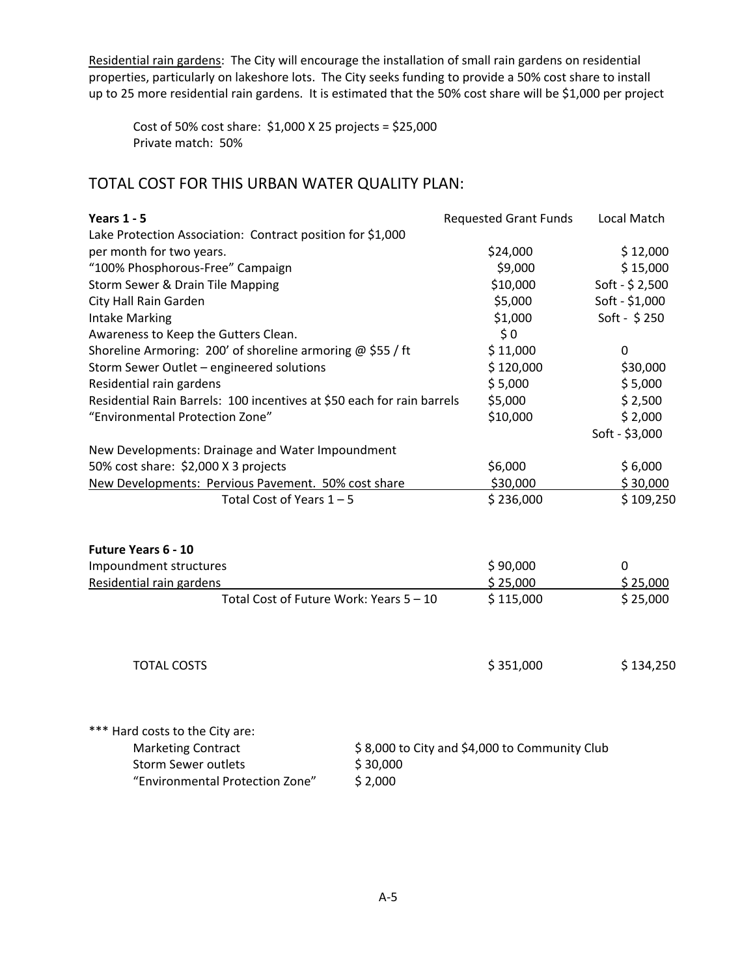Residential rain gardens: The City will encourage the installation of small rain gardens on residential properties, particularly on lakeshore lots. The City seeks funding to provide a 50% cost share to install up to 25 more residential rain gardens. It is estimated that the 50% cost share will be \$1,000 per project

Cost of 50% cost share: \$1,000 X 25 projects = \$25,000 Private match: 50%

# TOTAL COST FOR THIS URBAN WATER QUALITY PLAN:

| <b>Years 1 - 5</b>                                                     | <b>Requested Grant Funds</b> | Local Match                                   |                                                     |
|------------------------------------------------------------------------|------------------------------|-----------------------------------------------|-----------------------------------------------------|
| Lake Protection Association: Contract position for \$1,000             |                              |                                               |                                                     |
| per month for two years.                                               | \$24,000                     | \$12,000                                      |                                                     |
| "100% Phosphorous-Free" Campaign                                       | \$9,000                      | \$15,000                                      |                                                     |
| Storm Sewer & Drain Tile Mapping                                       |                              | \$10,000                                      | $Soft - $ 2,500$<br>Soft - \$1,000<br>$Soft - $250$ |
| City Hall Rain Garden                                                  |                              | \$5,000                                       |                                                     |
| <b>Intake Marking</b>                                                  |                              | \$1,000                                       |                                                     |
| Awareness to Keep the Gutters Clean.                                   |                              | \$0                                           |                                                     |
| Shoreline Armoring: 200' of shoreline armoring @ \$55 / ft             |                              | \$11,000                                      | 0                                                   |
| Storm Sewer Outlet - engineered solutions                              |                              | \$120,000                                     | \$30,000                                            |
| Residential rain gardens                                               |                              | \$5,000                                       | \$5,000                                             |
| Residential Rain Barrels: 100 incentives at \$50 each for rain barrels |                              | \$5,000                                       | \$2,500                                             |
| "Environmental Protection Zone"                                        |                              | \$10,000                                      | \$2,000                                             |
|                                                                        |                              |                                               | Soft - \$3,000                                      |
| New Developments: Drainage and Water Impoundment                       |                              |                                               |                                                     |
| 50% cost share: \$2,000 X 3 projects                                   |                              | \$6,000                                       | \$6,000                                             |
| New Developments: Pervious Pavement. 50% cost share                    |                              | \$30,000                                      | \$30,000                                            |
| Total Cost of Years $1 - 5$                                            |                              | \$236,000                                     | \$109,250                                           |
| <b>Future Years 6 - 10</b>                                             |                              |                                               |                                                     |
| Impoundment structures                                                 |                              | \$90,000                                      | 0                                                   |
| Residential rain gardens                                               |                              | \$25,000                                      | \$25,000                                            |
| Total Cost of Future Work: Years 5 - 10<br>\$115,000                   |                              | \$25,000                                      |                                                     |
|                                                                        |                              |                                               |                                                     |
| <b>TOTAL COSTS</b>                                                     |                              | \$351,000                                     | \$134,250                                           |
| Hard costs to the City are:                                            |                              |                                               |                                                     |
| <b>Marketing Contract</b>                                              |                              | \$8,000 to City and \$4,000 to Community Club |                                                     |
| <b>Storm Sewer outlets</b>                                             | \$30,000                     |                                               |                                                     |
| "Environmental Protection Zone"                                        | \$2,000                      |                                               |                                                     |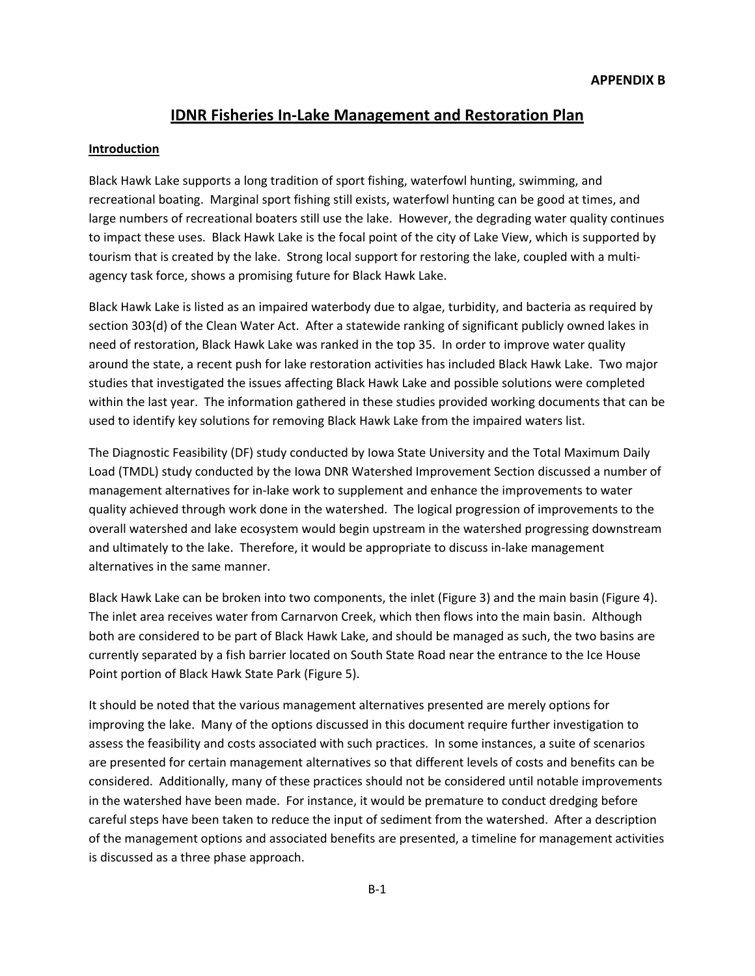# **IDNR Fisheries In‐Lake Management and Restoration Plan**

#### **Introduction**

Black Hawk Lake supports a long tradition of sport fishing, waterfowl hunting, swimming, and recreational boating. Marginal sport fishing still exists, waterfowl hunting can be good at times, and large numbers of recreational boaters still use the lake. However, the degrading water quality continues to impact these uses. Black Hawk Lake is the focal point of the city of Lake View, which is supported by tourism that is created by the lake. Strong local support for restoring the lake, coupled with a multiagency task force, shows a promising future for Black Hawk Lake.

Black Hawk Lake is listed as an impaired waterbody due to algae, turbidity, and bacteria as required by section 303(d) of the Clean Water Act. After a statewide ranking of significant publicly owned lakes in need of restoration, Black Hawk Lake was ranked in the top 35. In order to improve water quality around the state, a recent push for lake restoration activities has included Black Hawk Lake. Two major studies that investigated the issues affecting Black Hawk Lake and possible solutions were completed within the last year. The information gathered in these studies provided working documents that can be used to identify key solutions for removing Black Hawk Lake from the impaired waters list.

The Diagnostic Feasibility (DF) study conducted by Iowa State University and the Total Maximum Daily Load (TMDL) study conducted by the Iowa DNR Watershed Improvement Section discussed a number of management alternatives for in‐lake work to supplement and enhance the improvements to water quality achieved through work done in the watershed. The logical progression of improvements to the overall watershed and lake ecosystem would begin upstream in the watershed progressing downstream and ultimately to the lake. Therefore, it would be appropriate to discuss in‐lake management alternatives in the same manner.

Black Hawk Lake can be broken into two components, the inlet (Figure 3) and the main basin (Figure 4). The inlet area receives water from Carnarvon Creek, which then flows into the main basin. Although both are considered to be part of Black Hawk Lake, and should be managed as such, the two basins are currently separated by a fish barrier located on South State Road near the entrance to the Ice House Point portion of Black Hawk State Park (Figure 5).

It should be noted that the various management alternatives presented are merely options for improving the lake. Many of the options discussed in this document require further investigation to assess the feasibility and costs associated with such practices. In some instances, a suite of scenarios are presented for certain management alternatives so that different levels of costs and benefits can be considered. Additionally, many of these practices should not be considered until notable improvements in the watershed have been made. For instance, it would be premature to conduct dredging before careful steps have been taken to reduce the input of sediment from the watershed. After a description of the management options and associated benefits are presented, a timeline for management activities is discussed as a three phase approach.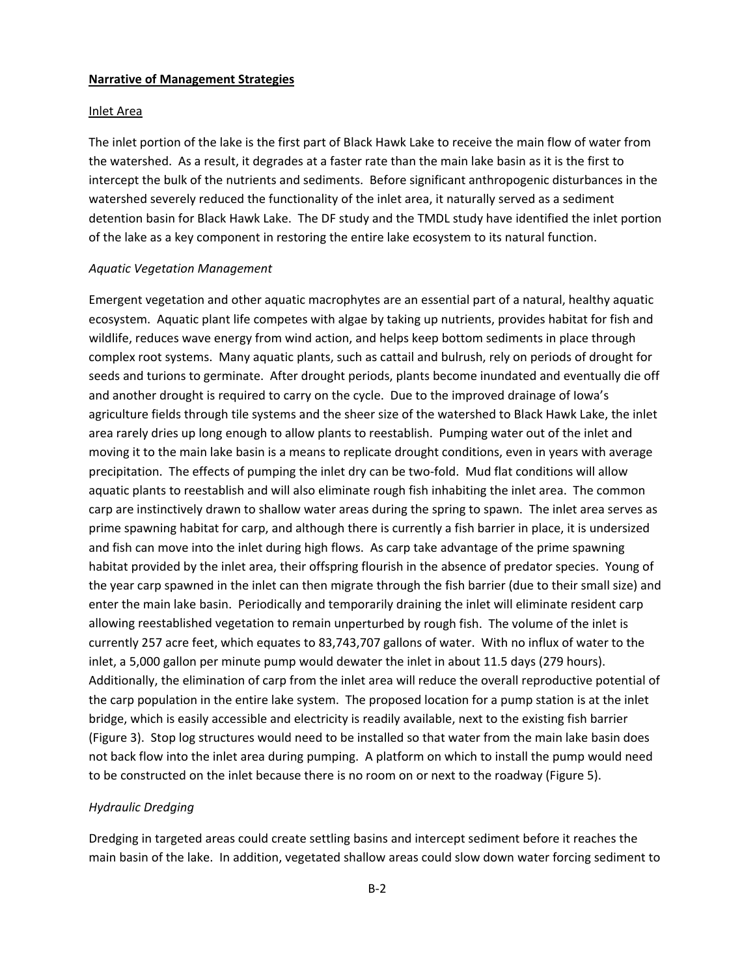#### **Narrative of Management Strategies**

#### Inlet Area

The inlet portion of the lake is the first part of Black Hawk Lake to receive the main flow of water from the watershed. As a result, it degrades at a faster rate than the main lake basin as it is the first to intercept the bulk of the nutrients and sediments. Before significant anthropogenic disturbances in the watershed severely reduced the functionality of the inlet area, it naturally served as a sediment detention basin for Black Hawk Lake. The DF study and the TMDL study have identified the inlet portion of the lake as a key component in restoring the entire lake ecosystem to its natural function.

#### *Aquatic Vegetation Management*

Emergent vegetation and other aquatic macrophytes are an essential part of a natural, healthy aquatic ecosystem. Aquatic plant life competes with algae by taking up nutrients, provides habitat for fish and wildlife, reduces wave energy from wind action, and helps keep bottom sediments in place through complex root systems. Many aquatic plants, such as cattail and bulrush, rely on periods of drought for seeds and turions to germinate. After drought periods, plants become inundated and eventually die off and another drought is required to carry on the cycle. Due to the improved drainage of Iowa's agriculture fields through tile systems and the sheer size of the watershed to Black Hawk Lake, the inlet area rarely dries up long enough to allow plants to reestablish. Pumping water out of the inlet and moving it to the main lake basin is a means to replicate drought conditions, even in years with average precipitation. The effects of pumping the inlet dry can be two-fold. Mud flat conditions will allow aquatic plants to reestablish and will also eliminate rough fish inhabiting the inlet area. The common carp are instinctively drawn to shallow water areas during the spring to spawn. The inlet area serves as prime spawning habitat for carp, and although there is currently a fish barrier in place, it is undersized and fish can move into the inlet during high flows. As carp take advantage of the prime spawning habitat provided by the inlet area, their offspring flourish in the absence of predator species. Young of the year carp spawned in the inlet can then migrate through the fish barrier (due to their small size) and enter the main lake basin. Periodically and temporarily draining the inlet will eliminate resident carp allowing reestablished vegetation to remain unperturbed by rough fish. The volume of the inlet is currently 257 acre feet, which equates to 83,743,707 gallons of water. With no influx of water to the inlet, a 5,000 gallon per minute pump would dewater the inlet in about 11.5 days (279 hours). Additionally, the elimination of carp from the inlet area will reduce the overall reproductive potential of the carp population in the entire lake system. The proposed location for a pump station is at the inlet bridge, which is easily accessible and electricity is readily available, next to the existing fish barrier (Figure 3). Stop log structures would need to be installed so that water from the main lake basin does not back flow into the inlet area during pumping. A platform on which to install the pump would need to be constructed on the inlet because there is no room on or next to the roadway (Figure 5).

## *Hydraulic Dredging*

Dredging in targeted areas could create settling basins and intercept sediment before it reaches the main basin of the lake. In addition, vegetated shallow areas could slow down water forcing sediment to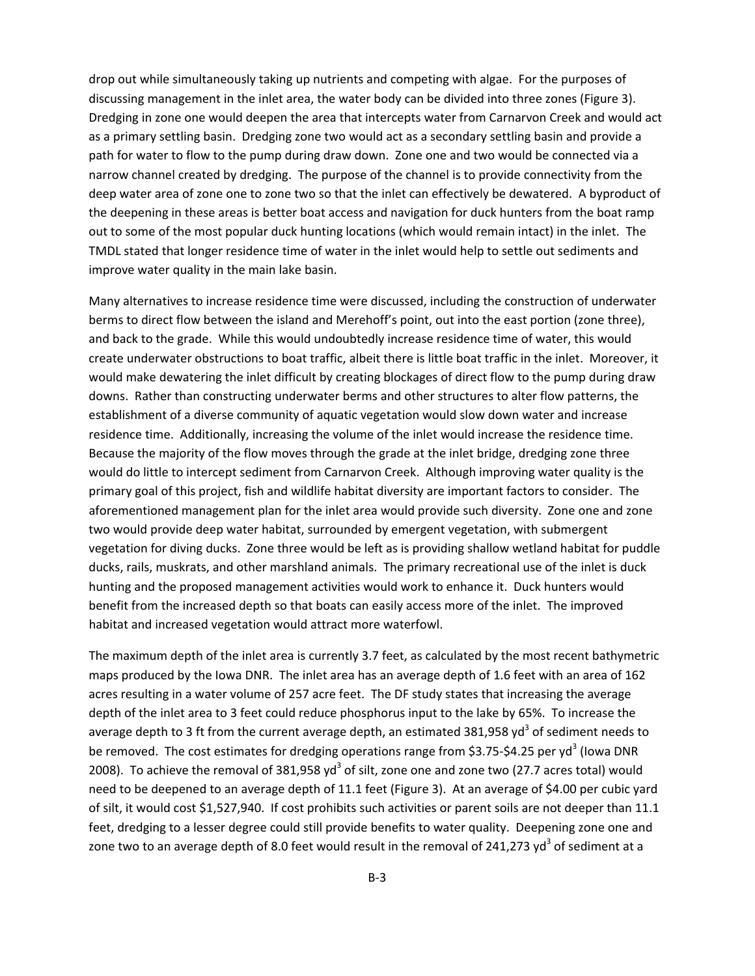drop out while simultaneously taking up nutrients and competing with algae. For the purposes of discussing management in the inlet area, the water body can be divided into three zones (Figure 3). Dredging in zone one would deepen the area that intercepts water from Carnarvon Creek and would act as a primary settling basin. Dredging zone two would act as a secondary settling basin and provide a path for water to flow to the pump during draw down. Zone one and two would be connected via a narrow channel created by dredging. The purpose of the channel is to provide connectivity from the deep water area of zone one to zone two so that the inlet can effectively be dewatered. A byproduct of the deepening in these areas is better boat access and navigation for duck hunters from the boat ramp out to some of the most popular duck hunting locations (which would remain intact) in the inlet. The TMDL stated that longer residence time of water in the inlet would help to settle out sediments and improve water quality in the main lake basin.

Many alternatives to increase residence time were discussed, including the construction of underwater berms to direct flow between the island and Merehoff's point, out into the east portion (zone three), and back to the grade. While this would undoubtedly increase residence time of water, this would create underwater obstructions to boat traffic, albeit there is little boat traffic in the inlet. Moreover, it would make dewatering the inlet difficult by creating blockages of direct flow to the pump during draw downs. Rather than constructing underwater berms and other structures to alter flow patterns, the establishment of a diverse community of aquatic vegetation would slow down water and increase residence time. Additionally, increasing the volume of the inlet would increase the residence time. Because the majority of the flow moves through the grade at the inlet bridge, dredging zone three would do little to intercept sediment from Carnarvon Creek. Although improving water quality is the primary goal of this project, fish and wildlife habitat diversity are important factors to consider. The aforementioned management plan for the inlet area would provide such diversity. Zone one and zone two would provide deep water habitat, surrounded by emergent vegetation, with submergent vegetation for diving ducks. Zone three would be left as is providing shallow wetland habitat for puddle ducks, rails, muskrats, and other marshland animals. The primary recreational use of the inlet is duck hunting and the proposed management activities would work to enhance it. Duck hunters would benefit from the increased depth so that boats can easily access more of the inlet. The improved habitat and increased vegetation would attract more waterfowl.

The maximum depth of the inlet area is currently 3.7 feet, as calculated by the most recent bathymetric maps produced by the Iowa DNR. The inlet area has an average depth of 1.6 feet with an area of 162 acres resulting in a water volume of 257 acre feet. The DF study states that increasing the average depth of the inlet area to 3 feet could reduce phosphorus input to the lake by 65%. To increase the average depth to 3 ft from the current average depth, an estimated 381,958 yd<sup>3</sup> of sediment needs to be removed. The cost estimates for dredging operations range from \$3.75-\$4.25 per yd<sup>3</sup> (Iowa DNR 2008). To achieve the removal of  $381,958$  yd<sup>3</sup> of silt, zone one and zone two (27.7 acres total) would need to be deepened to an average depth of 11.1 feet (Figure 3). At an average of \$4.00 per cubic yard of silt, it would cost \$1,527,940. If cost prohibits such activities or parent soils are not deeper than 11.1 feet, dredging to a lesser degree could still provide benefits to water quality. Deepening zone one and zone two to an average depth of 8.0 feet would result in the removal of 241,273 yd<sup>3</sup> of sediment at a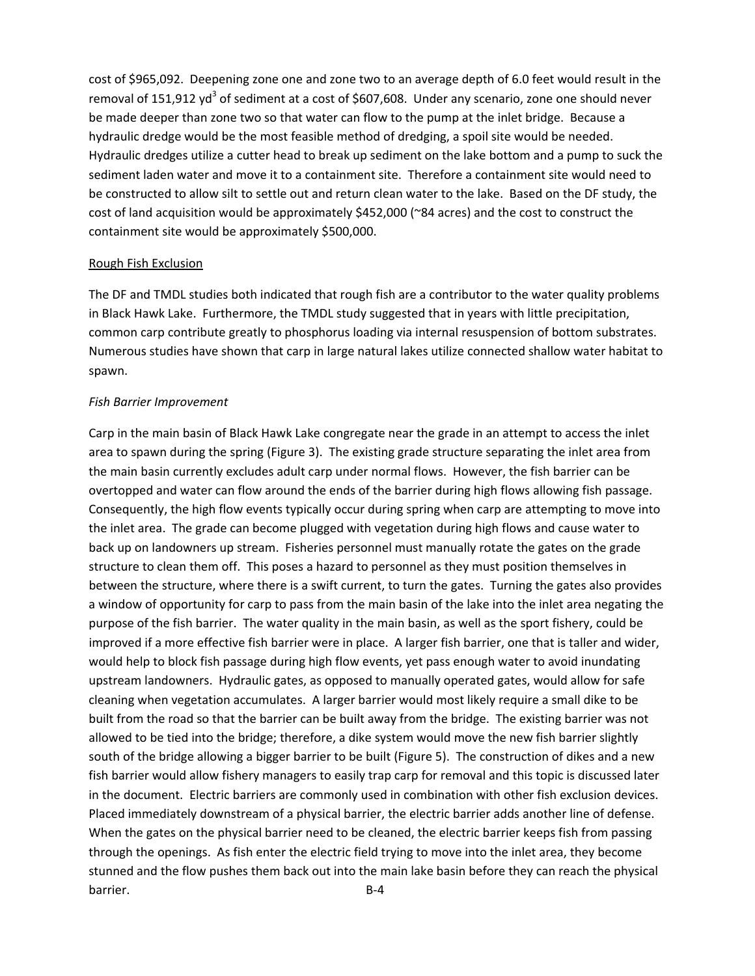cost of \$965,092. Deepening zone one and zone two to an average depth of 6.0 feet would result in the removal of 151,912 yd<sup>3</sup> of sediment at a cost of \$607,608. Under any scenario, zone one should never be made deeper than zone two so that water can flow to the pump at the inlet bridge. Because a hydraulic dredge would be the most feasible method of dredging, a spoil site would be needed. Hydraulic dredges utilize a cutter head to break up sediment on the lake bottom and a pump to suck the sediment laden water and move it to a containment site. Therefore a containment site would need to be constructed to allow silt to settle out and return clean water to the lake. Based on the DF study, the cost of land acquisition would be approximately \$452,000 (~84 acres) and the cost to construct the containment site would be approximately \$500,000.

#### Rough Fish Exclusion

The DF and TMDL studies both indicated that rough fish are a contributor to the water quality problems in Black Hawk Lake. Furthermore, the TMDL study suggested that in years with little precipitation, common carp contribute greatly to phosphorus loading via internal resuspension of bottom substrates. Numerous studies have shown that carp in large natural lakes utilize connected shallow water habitat to spawn.

#### *Fish Barrier Improvement*

Carp in the main basin of Black Hawk Lake congregate near the grade in an attempt to access the inlet area to spawn during the spring (Figure 3). The existing grade structure separating the inlet area from the main basin currently excludes adult carp under normal flows. However, the fish barrier can be overtopped and water can flow around the ends of the barrier during high flows allowing fish passage. Consequently, the high flow events typically occur during spring when carp are attempting to move into the inlet area. The grade can become plugged with vegetation during high flows and cause water to back up on landowners up stream. Fisheries personnel must manually rotate the gates on the grade structure to clean them off. This poses a hazard to personnel as they must position themselves in between the structure, where there is a swift current, to turn the gates. Turning the gates also provides a window of opportunity for carp to pass from the main basin of the lake into the inlet area negating the purpose of the fish barrier. The water quality in the main basin, as well as the sport fishery, could be improved if a more effective fish barrier were in place. A larger fish barrier, one that is taller and wider, would help to block fish passage during high flow events, yet pass enough water to avoid inundating upstream landowners. Hydraulic gates, as opposed to manually operated gates, would allow for safe cleaning when vegetation accumulates. A larger barrier would most likely require a small dike to be built from the road so that the barrier can be built away from the bridge. The existing barrier was not allowed to be tied into the bridge; therefore, a dike system would move the new fish barrier slightly south of the bridge allowing a bigger barrier to be built (Figure 5). The construction of dikes and a new fish barrier would allow fishery managers to easily trap carp for removal and this topic is discussed later in the document. Electric barriers are commonly used in combination with other fish exclusion devices. Placed immediately downstream of a physical barrier, the electric barrier adds another line of defense. When the gates on the physical barrier need to be cleaned, the electric barrier keeps fish from passing through the openings. As fish enter the electric field trying to move into the inlet area, they become stunned and the flow pushes them back out into the main lake basin before they can reach the physical barrier. B‐4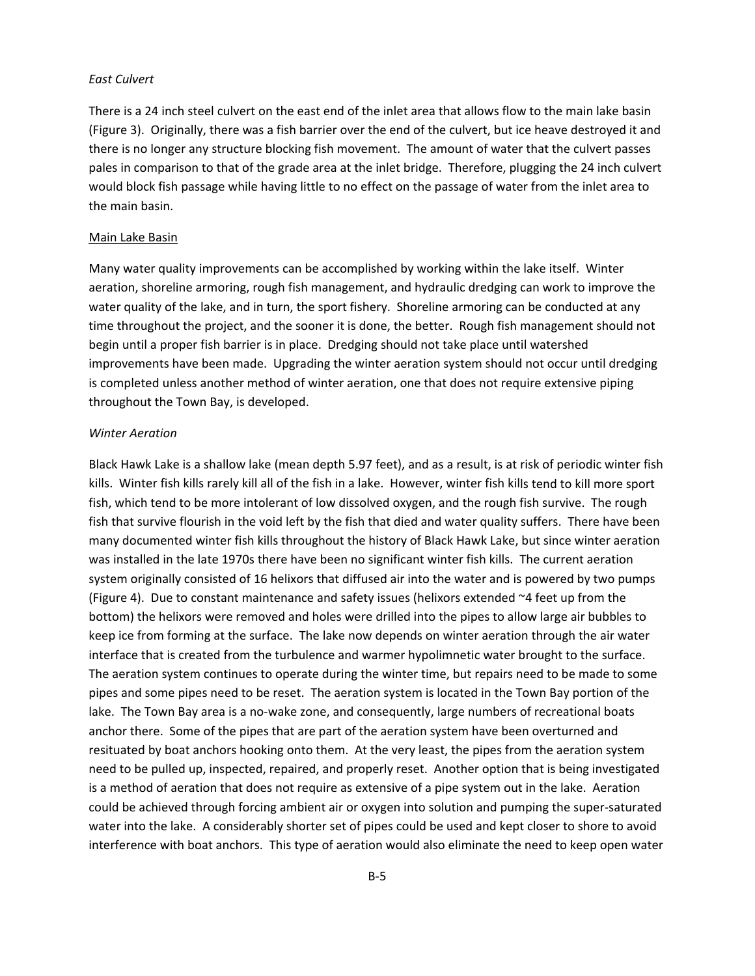#### *East Culvert*

There is a 24 inch steel culvert on the east end of the inlet area that allows flow to the main lake basin (Figure 3). Originally, there was a fish barrier over the end of the culvert, but ice heave destroyed it and there is no longer any structure blocking fish movement. The amount of water that the culvert passes pales in comparison to that of the grade area at the inlet bridge. Therefore, plugging the 24 inch culvert would block fish passage while having little to no effect on the passage of water from the inlet area to the main basin.

#### Main Lake Basin

Many water quality improvements can be accomplished by working within the lake itself. Winter aeration, shoreline armoring, rough fish management, and hydraulic dredging can work to improve the water quality of the lake, and in turn, the sport fishery. Shoreline armoring can be conducted at any time throughout the project, and the sooner it is done, the better. Rough fish management should not begin until a proper fish barrier is in place. Dredging should not take place until watershed improvements have been made. Upgrading the winter aeration system should not occur until dredging is completed unless another method of winter aeration, one that does not require extensive piping throughout the Town Bay, is developed.

#### *Winter Aeration*

Black Hawk Lake is a shallow lake (mean depth 5.97 feet), and as a result, is at risk of periodic winter fish kills. Winter fish kills rarely kill all of the fish in a lake. However, winter fish kills tend to kill more sport fish, which tend to be more intolerant of low dissolved oxygen, and the rough fish survive. The rough fish that survive flourish in the void left by the fish that died and water quality suffers. There have been many documented winter fish kills throughout the history of Black Hawk Lake, but since winter aeration was installed in the late 1970s there have been no significant winter fish kills. The current aeration system originally consisted of 16 helixors that diffused air into the water and is powered by two pumps (Figure 4). Due to constant maintenance and safety issues (helixors extended ~4 feet up from the bottom) the helixors were removed and holes were drilled into the pipes to allow large air bubbles to keep ice from forming at the surface. The lake now depends on winter aeration through the air water interface that is created from the turbulence and warmer hypolimnetic water brought to the surface. The aeration system continues to operate during the winter time, but repairs need to be made to some pipes and some pipes need to be reset. The aeration system is located in the Town Bay portion of the lake. The Town Bay area is a no-wake zone, and consequently, large numbers of recreational boats anchor there. Some of the pipes that are part of the aeration system have been overturned and resituated by boat anchors hooking onto them. At the very least, the pipes from the aeration system need to be pulled up, inspected, repaired, and properly reset. Another option that is being investigated is a method of aeration that does not require as extensive of a pipe system out in the lake. Aeration could be achieved through forcing ambient air or oxygen into solution and pumping the super‐saturated water into the lake. A considerably shorter set of pipes could be used and kept closer to shore to avoid interference with boat anchors. This type of aeration would also eliminate the need to keep open water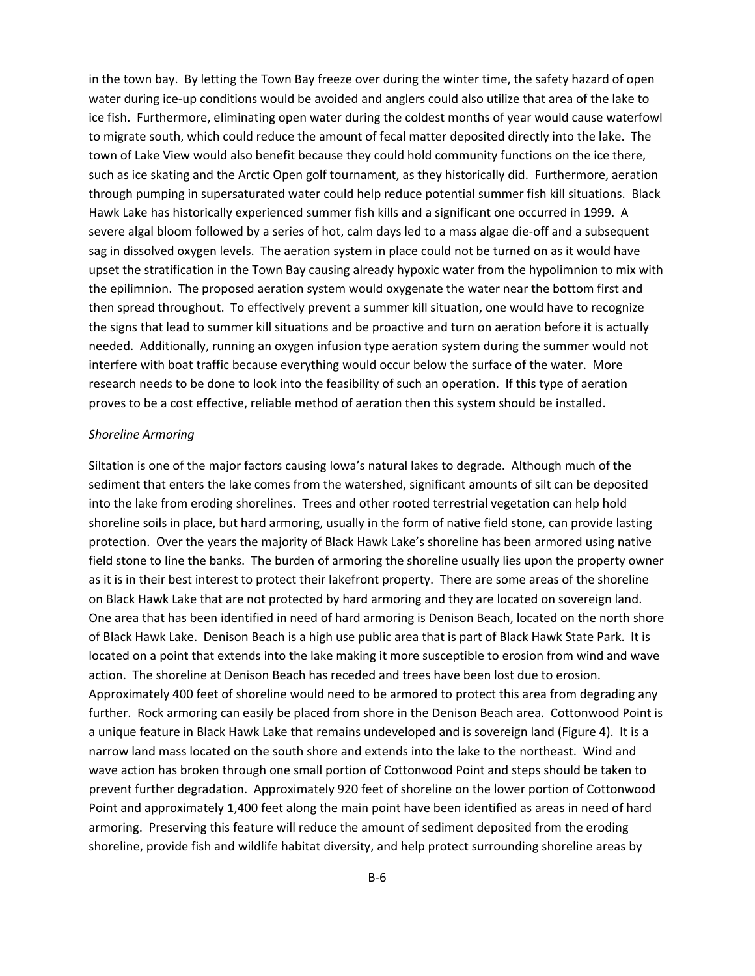in the town bay. By letting the Town Bay freeze over during the winter time, the safety hazard of open water during ice-up conditions would be avoided and anglers could also utilize that area of the lake to ice fish. Furthermore, eliminating open water during the coldest months of year would cause waterfowl to migrate south, which could reduce the amount of fecal matter deposited directly into the lake. The town of Lake View would also benefit because they could hold community functions on the ice there, such as ice skating and the Arctic Open golf tournament, as they historically did. Furthermore, aeration through pumping in supersaturated water could help reduce potential summer fish kill situations. Black Hawk Lake has historically experienced summer fish kills and a significant one occurred in 1999. A severe algal bloom followed by a series of hot, calm days led to a mass algae die‐off and a subsequent sag in dissolved oxygen levels. The aeration system in place could not be turned on as it would have upset the stratification in the Town Bay causing already hypoxic water from the hypolimnion to mix with the epilimnion. The proposed aeration system would oxygenate the water near the bottom first and then spread throughout. To effectively prevent a summer kill situation, one would have to recognize the signs that lead to summer kill situations and be proactive and turn on aeration before it is actually needed. Additionally, running an oxygen infusion type aeration system during the summer would not interfere with boat traffic because everything would occur below the surface of the water. More research needs to be done to look into the feasibility of such an operation. If this type of aeration proves to be a cost effective, reliable method of aeration then this system should be installed.

#### *Shoreline Armoring*

Siltation is one of the major factors causing Iowa's natural lakes to degrade. Although much of the sediment that enters the lake comes from the watershed, significant amounts of silt can be deposited into the lake from eroding shorelines. Trees and other rooted terrestrial vegetation can help hold shoreline soils in place, but hard armoring, usually in the form of native field stone, can provide lasting protection. Over the years the majority of Black Hawk Lake's shoreline has been armored using native field stone to line the banks. The burden of armoring the shoreline usually lies upon the property owner as it is in their best interest to protect their lakefront property. There are some areas of the shoreline on Black Hawk Lake that are not protected by hard armoring and they are located on sovereign land. One area that has been identified in need of hard armoring is Denison Beach, located on the north shore of Black Hawk Lake. Denison Beach is a high use public area that is part of Black Hawk State Park. It is located on a point that extends into the lake making it more susceptible to erosion from wind and wave action. The shoreline at Denison Beach has receded and trees have been lost due to erosion. Approximately 400 feet of shoreline would need to be armored to protect this area from degrading any further. Rock armoring can easily be placed from shore in the Denison Beach area. Cottonwood Point is a unique feature in Black Hawk Lake that remains undeveloped and is sovereign land (Figure 4). It is a narrow land mass located on the south shore and extends into the lake to the northeast. Wind and wave action has broken through one small portion of Cottonwood Point and steps should be taken to prevent further degradation. Approximately 920 feet of shoreline on the lower portion of Cottonwood Point and approximately 1,400 feet along the main point have been identified as areas in need of hard armoring. Preserving this feature will reduce the amount of sediment deposited from the eroding shoreline, provide fish and wildlife habitat diversity, and help protect surrounding shoreline areas by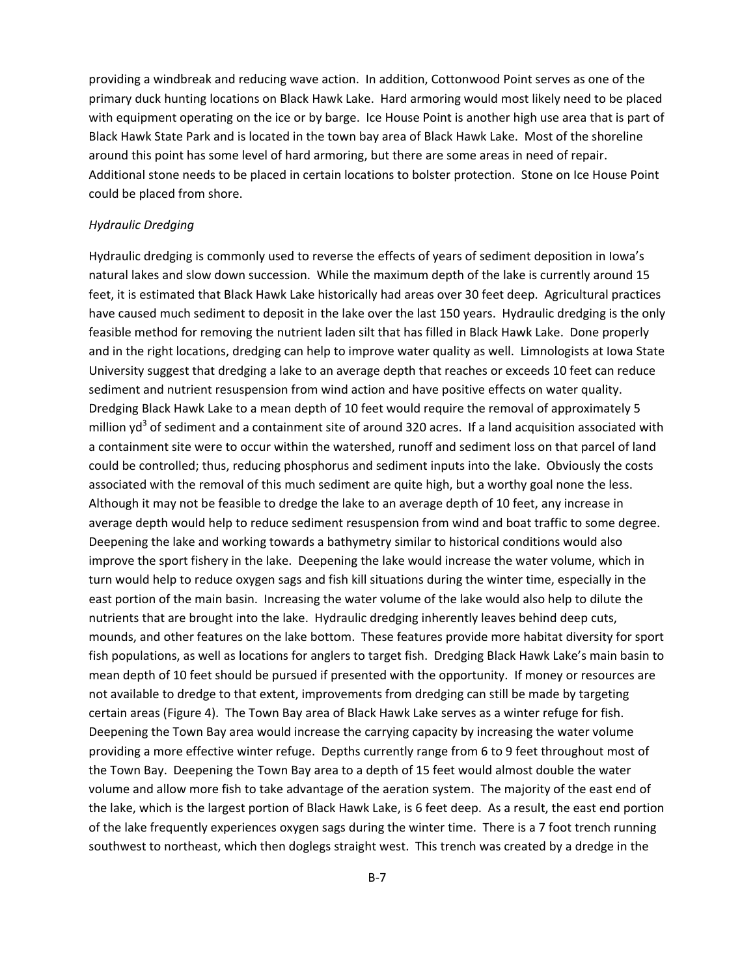providing a windbreak and reducing wave action. In addition, Cottonwood Point serves as one of the primary duck hunting locations on Black Hawk Lake. Hard armoring would most likely need to be placed with equipment operating on the ice or by barge. Ice House Point is another high use area that is part of Black Hawk State Park and is located in the town bay area of Black Hawk Lake. Most of the shoreline around this point has some level of hard armoring, but there are some areas in need of repair. Additional stone needs to be placed in certain locations to bolster protection. Stone on Ice House Point could be placed from shore.

## *Hydraulic Dredging*

Hydraulic dredging is commonly used to reverse the effects of years of sediment deposition in Iowa's natural lakes and slow down succession. While the maximum depth of the lake is currently around 15 feet, it is estimated that Black Hawk Lake historically had areas over 30 feet deep. Agricultural practices have caused much sediment to deposit in the lake over the last 150 years. Hydraulic dredging is the only feasible method for removing the nutrient laden silt that has filled in Black Hawk Lake. Done properly and in the right locations, dredging can help to improve water quality as well. Limnologists at Iowa State University suggest that dredging a lake to an average depth that reaches or exceeds 10 feet can reduce sediment and nutrient resuspension from wind action and have positive effects on water quality. Dredging Black Hawk Lake to a mean depth of 10 feet would require the removal of approximately 5 million  $yd^3$  of sediment and a containment site of around 320 acres. If a land acquisition associated with a containment site were to occur within the watershed, runoff and sediment loss on that parcel of land could be controlled; thus, reducing phosphorus and sediment inputs into the lake. Obviously the costs associated with the removal of this much sediment are quite high, but a worthy goal none the less. Although it may not be feasible to dredge the lake to an average depth of 10 feet, any increase in average depth would help to reduce sediment resuspension from wind and boat traffic to some degree. Deepening the lake and working towards a bathymetry similar to historical conditions would also improve the sport fishery in the lake. Deepening the lake would increase the water volume, which in turn would help to reduce oxygen sags and fish kill situations during the winter time, especially in the east portion of the main basin. Increasing the water volume of the lake would also help to dilute the nutrients that are brought into the lake. Hydraulic dredging inherently leaves behind deep cuts, mounds, and other features on the lake bottom. These features provide more habitat diversity for sport fish populations, as well as locations for anglers to target fish. Dredging Black Hawk Lake's main basin to mean depth of 10 feet should be pursued if presented with the opportunity. If money or resources are not available to dredge to that extent, improvements from dredging can still be made by targeting certain areas (Figure 4). The Town Bay area of Black Hawk Lake serves as a winter refuge for fish. Deepening the Town Bay area would increase the carrying capacity by increasing the water volume providing a more effective winter refuge. Depths currently range from 6 to 9 feet throughout most of the Town Bay. Deepening the Town Bay area to a depth of 15 feet would almost double the water volume and allow more fish to take advantage of the aeration system. The majority of the east end of the lake, which is the largest portion of Black Hawk Lake, is 6 feet deep. As a result, the east end portion of the lake frequently experiences oxygen sags during the winter time. There is a 7 foot trench running southwest to northeast, which then doglegs straight west. This trench was created by a dredge in the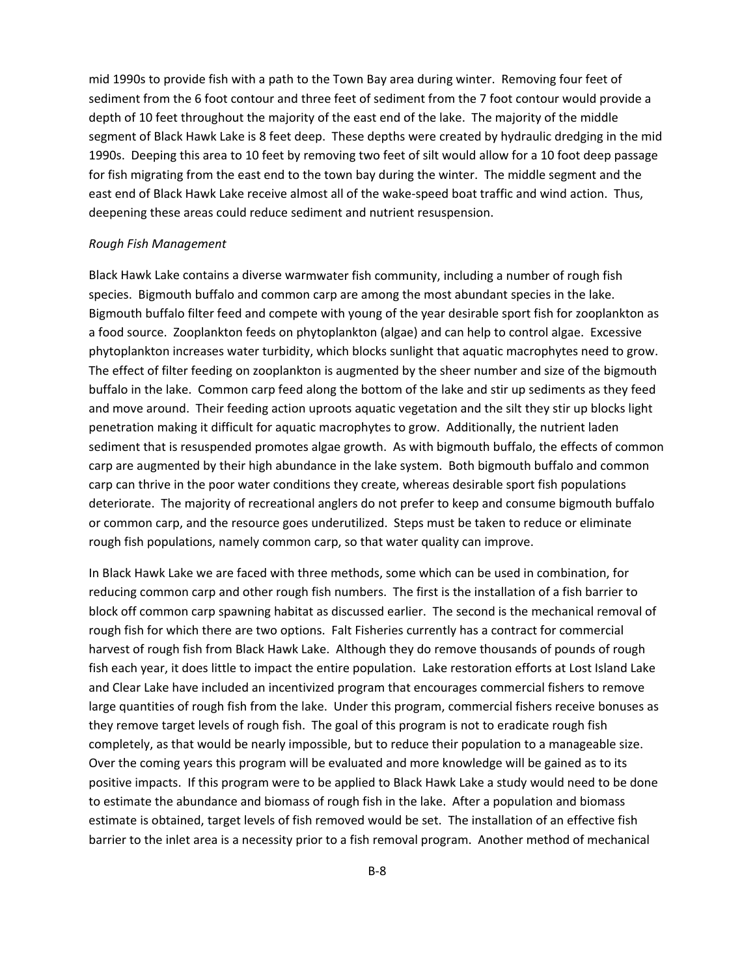mid 1990s to provide fish with a path to the Town Bay area during winter. Removing four feet of sediment from the 6 foot contour and three feet of sediment from the 7 foot contour would provide a depth of 10 feet throughout the majority of the east end of the lake. The majority of the middle segment of Black Hawk Lake is 8 feet deep. These depths were created by hydraulic dredging in the mid 1990s. Deeping this area to 10 feet by removing two feet of silt would allow for a 10 foot deep passage for fish migrating from the east end to the town bay during the winter. The middle segment and the east end of Black Hawk Lake receive almost all of the wake‐speed boat traffic and wind action. Thus, deepening these areas could reduce sediment and nutrient resuspension.

#### *Rough Fish Management*

Black Hawk Lake contains a diverse warmwater fish community, including a number of rough fish species. Bigmouth buffalo and common carp are among the most abundant species in the lake. Bigmouth buffalo filter feed and compete with young of the year desirable sport fish for zooplankton as a food source. Zooplankton feeds on phytoplankton (algae) and can help to control algae. Excessive phytoplankton increases water turbidity, which blocks sunlight that aquatic macrophytes need to grow. The effect of filter feeding on zooplankton is augmented by the sheer number and size of the bigmouth buffalo in the lake. Common carp feed along the bottom of the lake and stir up sediments as they feed and move around. Their feeding action uproots aquatic vegetation and the silt they stir up blocks light penetration making it difficult for aquatic macrophytes to grow. Additionally, the nutrient laden sediment that is resuspended promotes algae growth. As with bigmouth buffalo, the effects of common carp are augmented by their high abundance in the lake system. Both bigmouth buffalo and common carp can thrive in the poor water conditions they create, whereas desirable sport fish populations deteriorate. The majority of recreational anglers do not prefer to keep and consume bigmouth buffalo or common carp, and the resource goes underutilized. Steps must be taken to reduce or eliminate rough fish populations, namely common carp, so that water quality can improve.

In Black Hawk Lake we are faced with three methods, some which can be used in combination, for reducing common carp and other rough fish numbers. The first is the installation of a fish barrier to block off common carp spawning habitat as discussed earlier. The second is the mechanical removal of rough fish for which there are two options. Falt Fisheries currently has a contract for commercial harvest of rough fish from Black Hawk Lake. Although they do remove thousands of pounds of rough fish each year, it does little to impact the entire population. Lake restoration efforts at Lost Island Lake and Clear Lake have included an incentivized program that encourages commercial fishers to remove large quantities of rough fish from the lake. Under this program, commercial fishers receive bonuses as they remove target levels of rough fish. The goal of this program is not to eradicate rough fish completely, as that would be nearly impossible, but to reduce their population to a manageable size. Over the coming years this program will be evaluated and more knowledge will be gained as to its positive impacts. If this program were to be applied to Black Hawk Lake a study would need to be done to estimate the abundance and biomass of rough fish in the lake. After a population and biomass estimate is obtained, target levels of fish removed would be set. The installation of an effective fish barrier to the inlet area is a necessity prior to a fish removal program. Another method of mechanical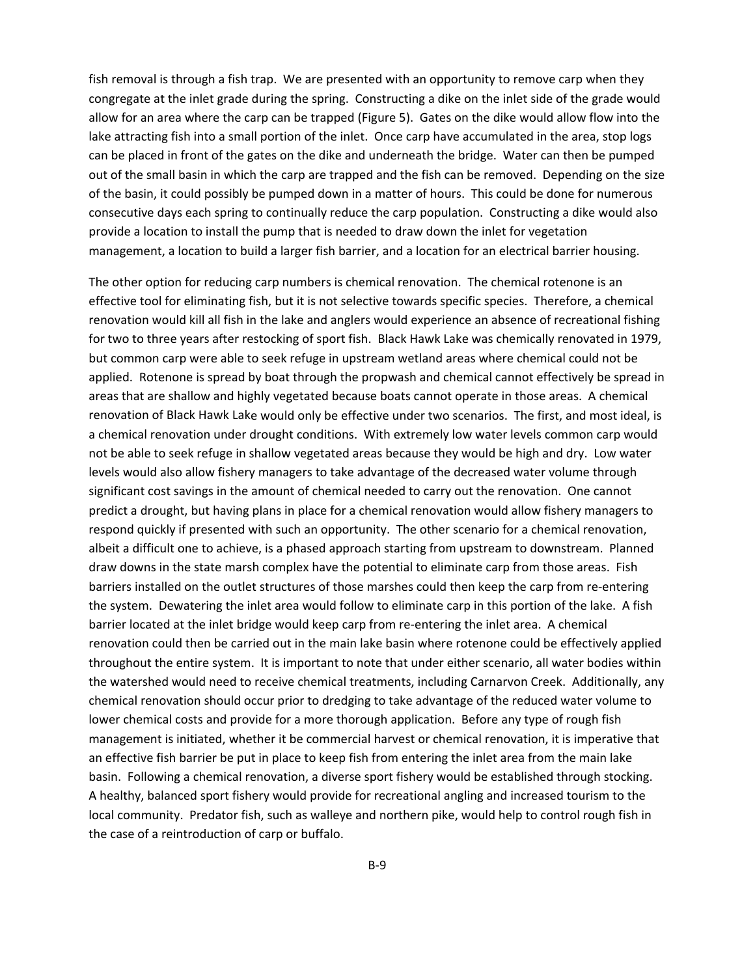fish removal is through a fish trap. We are presented with an opportunity to remove carp when they congregate at the inlet grade during the spring. Constructing a dike on the inlet side of the grade would allow for an area where the carp can be trapped (Figure 5). Gates on the dike would allow flow into the lake attracting fish into a small portion of the inlet. Once carp have accumulated in the area, stop logs can be placed in front of the gates on the dike and underneath the bridge. Water can then be pumped out of the small basin in which the carp are trapped and the fish can be removed. Depending on the size of the basin, it could possibly be pumped down in a matter of hours. This could be done for numerous consecutive days each spring to continually reduce the carp population. Constructing a dike would also provide a location to install the pump that is needed to draw down the inlet for vegetation management, a location to build a larger fish barrier, and a location for an electrical barrier housing.

The other option for reducing carp numbers is chemical renovation. The chemical rotenone is an effective tool for eliminating fish, but it is not selective towards specific species. Therefore, a chemical renovation would kill all fish in the lake and anglers would experience an absence of recreational fishing for two to three years after restocking of sport fish. Black Hawk Lake was chemically renovated in 1979, but common carp were able to seek refuge in upstream wetland areas where chemical could not be applied. Rotenone is spread by boat through the propwash and chemical cannot effectively be spread in areas that are shallow and highly vegetated because boats cannot operate in those areas. A chemical renovation of Black Hawk Lake would only be effective under two scenarios. The first, and most ideal, is a chemical renovation under drought conditions. With extremely low water levels common carp would not be able to seek refuge in shallow vegetated areas because they would be high and dry. Low water levels would also allow fishery managers to take advantage of the decreased water volume through significant cost savings in the amount of chemical needed to carry out the renovation. One cannot predict a drought, but having plans in place for a chemical renovation would allow fishery managers to respond quickly if presented with such an opportunity. The other scenario for a chemical renovation, albeit a difficult one to achieve, is a phased approach starting from upstream to downstream. Planned draw downs in the state marsh complex have the potential to eliminate carp from those areas. Fish barriers installed on the outlet structures of those marshes could then keep the carp from re‐entering the system. Dewatering the inlet area would follow to eliminate carp in this portion of the lake. A fish barrier located at the inlet bridge would keep carp from re‐entering the inlet area. A chemical renovation could then be carried out in the main lake basin where rotenone could be effectively applied throughout the entire system. It is important to note that under either scenario, all water bodies within the watershed would need to receive chemical treatments, including Carnarvon Creek. Additionally, any chemical renovation should occur prior to dredging to take advantage of the reduced water volume to lower chemical costs and provide for a more thorough application. Before any type of rough fish management is initiated, whether it be commercial harvest or chemical renovation, it is imperative that an effective fish barrier be put in place to keep fish from entering the inlet area from the main lake basin. Following a chemical renovation, a diverse sport fishery would be established through stocking. A healthy, balanced sport fishery would provide for recreational angling and increased tourism to the local community. Predator fish, such as walleye and northern pike, would help to control rough fish in the case of a reintroduction of carp or buffalo.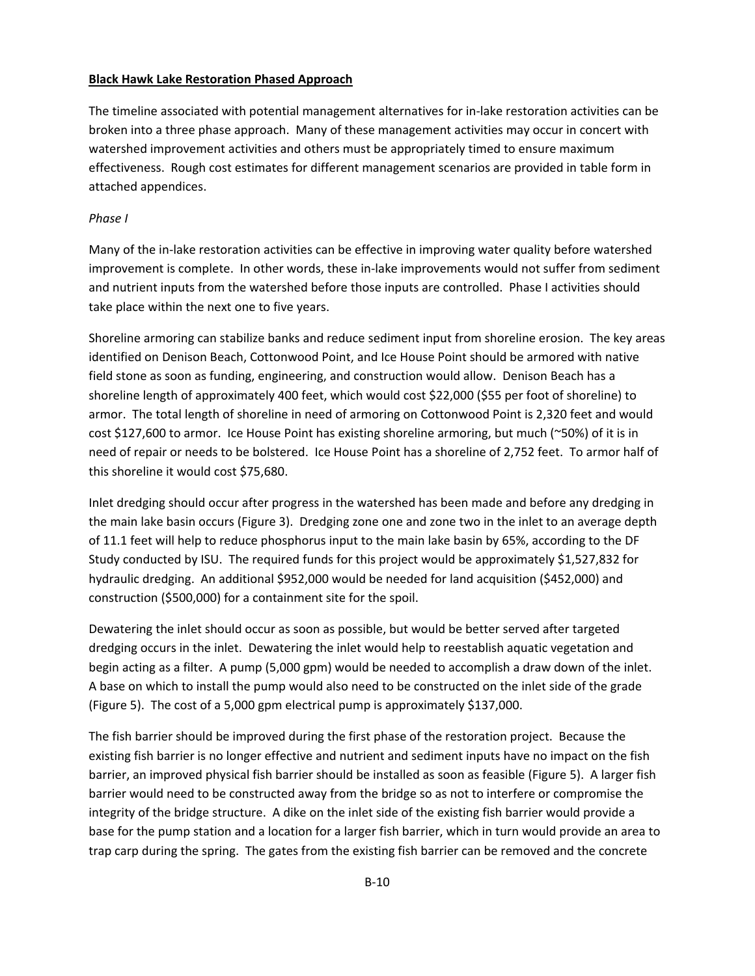#### **Black Hawk Lake Restoration Phased Approach**

The timeline associated with potential management alternatives for in‐lake restoration activities can be broken into a three phase approach. Many of these management activities may occur in concert with watershed improvement activities and others must be appropriately timed to ensure maximum effectiveness. Rough cost estimates for different management scenarios are provided in table form in attached appendices.

#### *Phase I*

Many of the in‐lake restoration activities can be effective in improving water quality before watershed improvement is complete. In other words, these in-lake improvements would not suffer from sediment and nutrient inputs from the watershed before those inputs are controlled. Phase I activities should take place within the next one to five years.

Shoreline armoring can stabilize banks and reduce sediment input from shoreline erosion. The key areas identified on Denison Beach, Cottonwood Point, and Ice House Point should be armored with native field stone as soon as funding, engineering, and construction would allow. Denison Beach has a shoreline length of approximately 400 feet, which would cost \$22,000 (\$55 per foot of shoreline) to armor. The total length of shoreline in need of armoring on Cottonwood Point is 2,320 feet and would cost \$127,600 to armor. Ice House Point has existing shoreline armoring, but much (~50%) of it is in need of repair or needs to be bolstered. Ice House Point has a shoreline of 2,752 feet. To armor half of this shoreline it would cost \$75,680.

Inlet dredging should occur after progress in the watershed has been made and before any dredging in the main lake basin occurs (Figure 3). Dredging zone one and zone two in the inlet to an average depth of 11.1 feet will help to reduce phosphorus input to the main lake basin by 65%, according to the DF Study conducted by ISU. The required funds for this project would be approximately \$1,527,832 for hydraulic dredging. An additional \$952,000 would be needed for land acquisition (\$452,000) and construction (\$500,000) for a containment site for the spoil.

Dewatering the inlet should occur as soon as possible, but would be better served after targeted dredging occurs in the inlet. Dewatering the inlet would help to reestablish aquatic vegetation and begin acting as a filter. A pump (5,000 gpm) would be needed to accomplish a draw down of the inlet. A base on which to install the pump would also need to be constructed on the inlet side of the grade (Figure 5). The cost of a 5,000 gpm electrical pump is approximately \$137,000.

The fish barrier should be improved during the first phase of the restoration project. Because the existing fish barrier is no longer effective and nutrient and sediment inputs have no impact on the fish barrier, an improved physical fish barrier should be installed as soon as feasible (Figure 5). A larger fish barrier would need to be constructed away from the bridge so as not to interfere or compromise the integrity of the bridge structure. A dike on the inlet side of the existing fish barrier would provide a base for the pump station and a location for a larger fish barrier, which in turn would provide an area to trap carp during the spring. The gates from the existing fish barrier can be removed and the concrete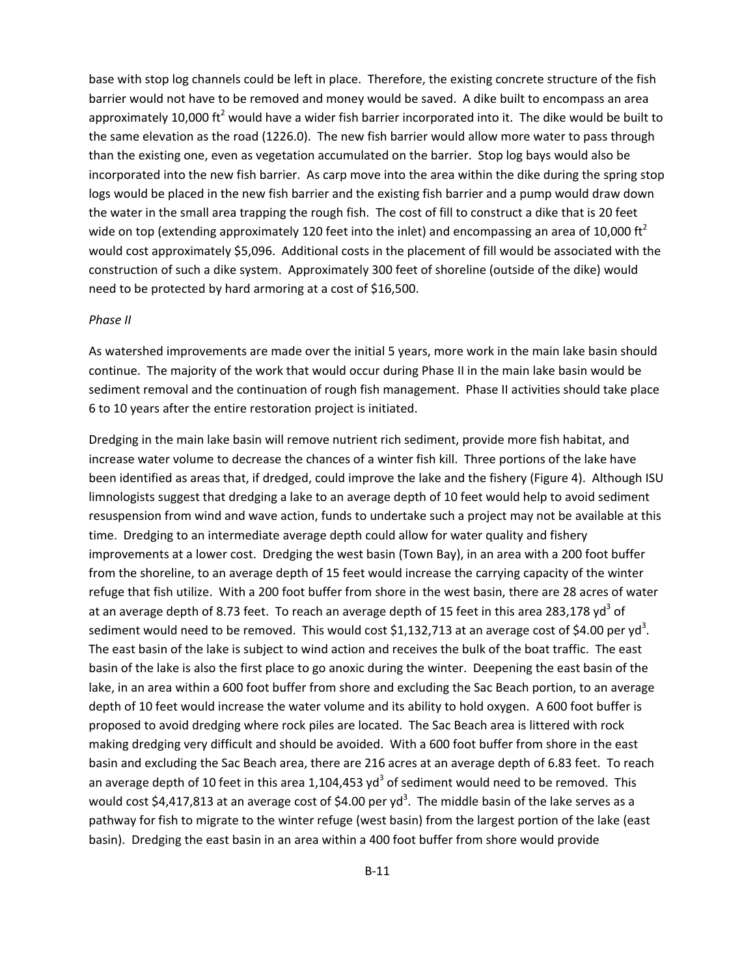base with stop log channels could be left in place. Therefore, the existing concrete structure of the fish barrier would not have to be removed and money would be saved. A dike built to encompass an area approximately 10,000 ft<sup>2</sup> would have a wider fish barrier incorporated into it. The dike would be built to the same elevation as the road (1226.0). The new fish barrier would allow more water to pass through than the existing one, even as vegetation accumulated on the barrier. Stop log bays would also be incorporated into the new fish barrier. As carp move into the area within the dike during the spring stop logs would be placed in the new fish barrier and the existing fish barrier and a pump would draw down the water in the small area trapping the rough fish. The cost of fill to construct a dike that is 20 feet wide on top (extending approximately 120 feet into the inlet) and encompassing an area of 10,000 ft<sup>2</sup> would cost approximately \$5,096. Additional costs in the placement of fill would be associated with the construction of such a dike system. Approximately 300 feet of shoreline (outside of the dike) would need to be protected by hard armoring at a cost of \$16,500.

#### *Phase II*

As watershed improvements are made over the initial 5 years, more work in the main lake basin should continue. The majority of the work that would occur during Phase II in the main lake basin would be sediment removal and the continuation of rough fish management. Phase II activities should take place 6 to 10 years after the entire restoration project is initiated.

Dredging in the main lake basin will remove nutrient rich sediment, provide more fish habitat, and increase water volume to decrease the chances of a winter fish kill. Three portions of the lake have been identified as areas that, if dredged, could improve the lake and the fishery (Figure 4). Although ISU limnologists suggest that dredging a lake to an average depth of 10 feet would help to avoid sediment resuspension from wind and wave action, funds to undertake such a project may not be available at this time. Dredging to an intermediate average depth could allow for water quality and fishery improvements at a lower cost. Dredging the west basin (Town Bay), in an area with a 200 foot buffer from the shoreline, to an average depth of 15 feet would increase the carrying capacity of the winter refuge that fish utilize. With a 200 foot buffer from shore in the west basin, there are 28 acres of water at an average depth of 8.73 feet. To reach an average depth of 15 feet in this area 283,178 yd<sup>3</sup> of sediment would need to be removed. This would cost \$1,132,713 at an average cost of \$4.00 per yd<sup>3</sup>. The east basin of the lake is subject to wind action and receives the bulk of the boat traffic. The east basin of the lake is also the first place to go anoxic during the winter. Deepening the east basin of the lake, in an area within a 600 foot buffer from shore and excluding the Sac Beach portion, to an average depth of 10 feet would increase the water volume and its ability to hold oxygen. A 600 foot buffer is proposed to avoid dredging where rock piles are located. The Sac Beach area is littered with rock making dredging very difficult and should be avoided. With a 600 foot buffer from shore in the east basin and excluding the Sac Beach area, there are 216 acres at an average depth of 6.83 feet. To reach an average depth of 10 feet in this area 1,104,453 yd<sup>3</sup> of sediment would need to be removed. This would cost \$4,417,813 at an average cost of \$4.00 per yd<sup>3</sup>. The middle basin of the lake serves as a pathway for fish to migrate to the winter refuge (west basin) from the largest portion of the lake (east basin). Dredging the east basin in an area within a 400 foot buffer from shore would provide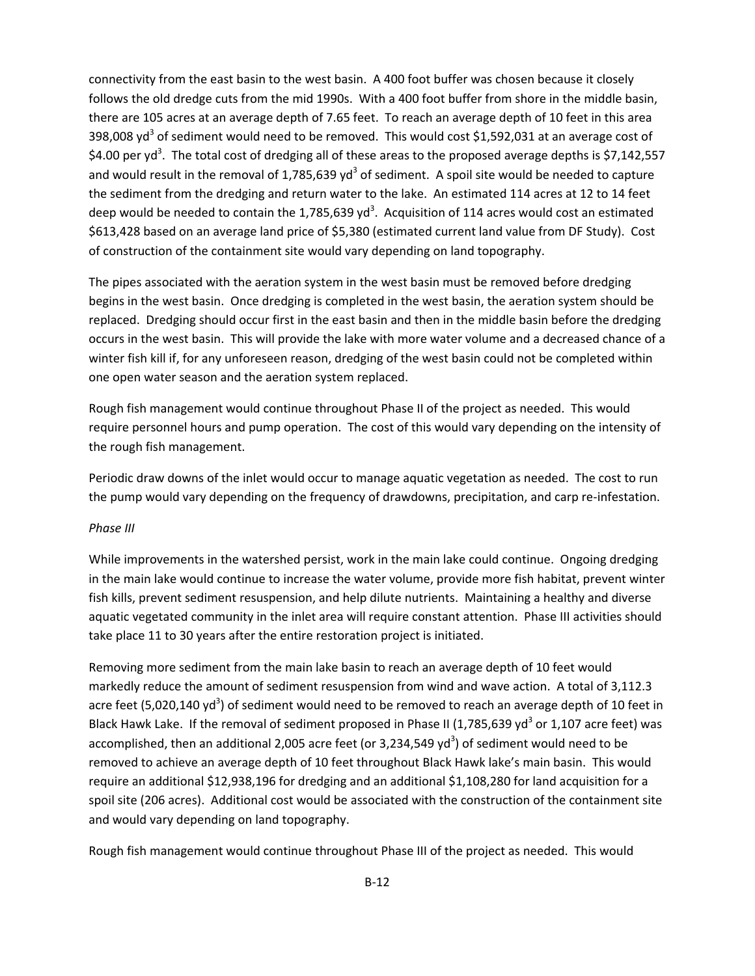connectivity from the east basin to the west basin. A 400 foot buffer was chosen because it closely follows the old dredge cuts from the mid 1990s. With a 400 foot buffer from shore in the middle basin, there are 105 acres at an average depth of 7.65 feet. To reach an average depth of 10 feet in this area 398,008 yd<sup>3</sup> of sediment would need to be removed. This would cost \$1,592,031 at an average cost of \$4.00 per yd<sup>3</sup>. The total cost of dredging all of these areas to the proposed average depths is \$7,142,557 and would result in the removal of 1,785,639  $yd^3$  of sediment. A spoil site would be needed to capture the sediment from the dredging and return water to the lake. An estimated 114 acres at 12 to 14 feet deep would be needed to contain the 1,785,639  $yd^3$ . Acquisition of 114 acres would cost an estimated \$613,428 based on an average land price of \$5,380 (estimated current land value from DF Study). Cost of construction of the containment site would vary depending on land topography.

The pipes associated with the aeration system in the west basin must be removed before dredging begins in the west basin. Once dredging is completed in the west basin, the aeration system should be replaced. Dredging should occur first in the east basin and then in the middle basin before the dredging occurs in the west basin. This will provide the lake with more water volume and a decreased chance of a winter fish kill if, for any unforeseen reason, dredging of the west basin could not be completed within one open water season and the aeration system replaced.

Rough fish management would continue throughout Phase II of the project as needed. This would require personnel hours and pump operation. The cost of this would vary depending on the intensity of the rough fish management.

Periodic draw downs of the inlet would occur to manage aquatic vegetation as needed. The cost to run the pump would vary depending on the frequency of drawdowns, precipitation, and carp re-infestation.

### *Phase III*

While improvements in the watershed persist, work in the main lake could continue. Ongoing dredging in the main lake would continue to increase the water volume, provide more fish habitat, prevent winter fish kills, prevent sediment resuspension, and help dilute nutrients. Maintaining a healthy and diverse aquatic vegetated community in the inlet area will require constant attention. Phase III activities should take place 11 to 30 years after the entire restoration project is initiated.

Removing more sediment from the main lake basin to reach an average depth of 10 feet would markedly reduce the amount of sediment resuspension from wind and wave action. A total of 3,112.3 acre feet (5,020,140 yd<sup>3</sup>) of sediment would need to be removed to reach an average depth of 10 feet in Black Hawk Lake. If the removal of sediment proposed in Phase II (1,785,639 yd<sup>3</sup> or 1,107 acre feet) was accomplished, then an additional 2,005 acre feet (or 3,234,549 yd<sup>3</sup>) of sediment would need to be removed to achieve an average depth of 10 feet throughout Black Hawk lake's main basin. This would require an additional \$12,938,196 for dredging and an additional \$1,108,280 for land acquisition for a spoil site (206 acres). Additional cost would be associated with the construction of the containment site and would vary depending on land topography.

Rough fish management would continue throughout Phase III of the project as needed. This would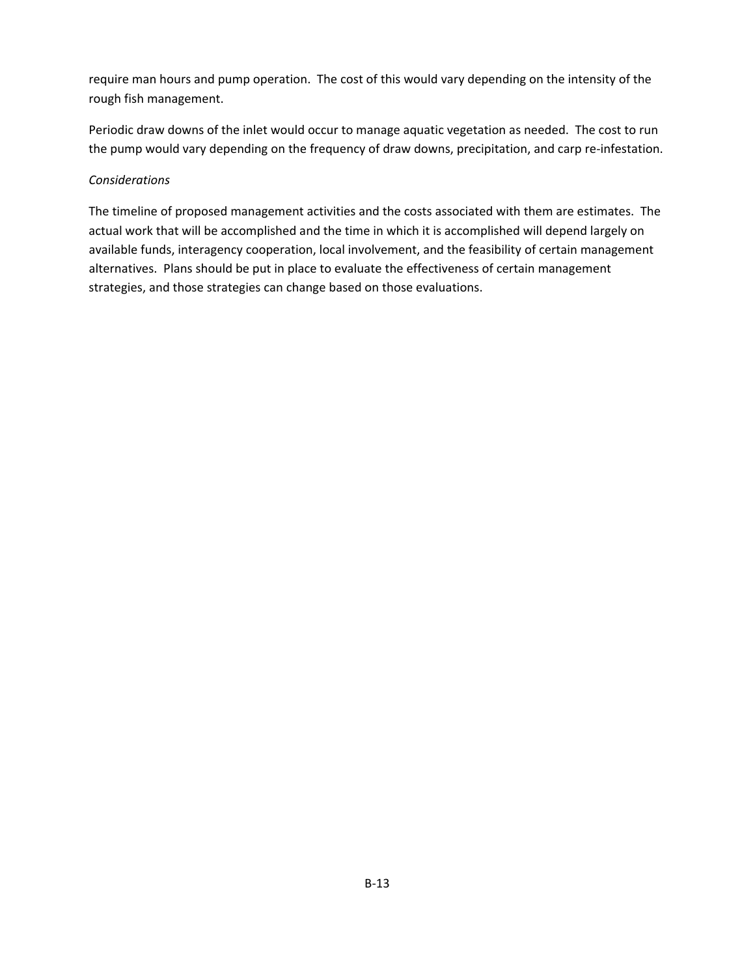require man hours and pump operation. The cost of this would vary depending on the intensity of the rough fish management.

Periodic draw downs of the inlet would occur to manage aquatic vegetation as needed. The cost to run the pump would vary depending on the frequency of draw downs, precipitation, and carp re-infestation.

# *Considerations*

The timeline of proposed management activities and the costs associated with them are estimates. The actual work that will be accomplished and the time in which it is accomplished will depend largely on available funds, interagency cooperation, local involvement, and the feasibility of certain management alternatives. Plans should be put in place to evaluate the effectiveness of certain management strategies, and those strategies can change based on those evaluations.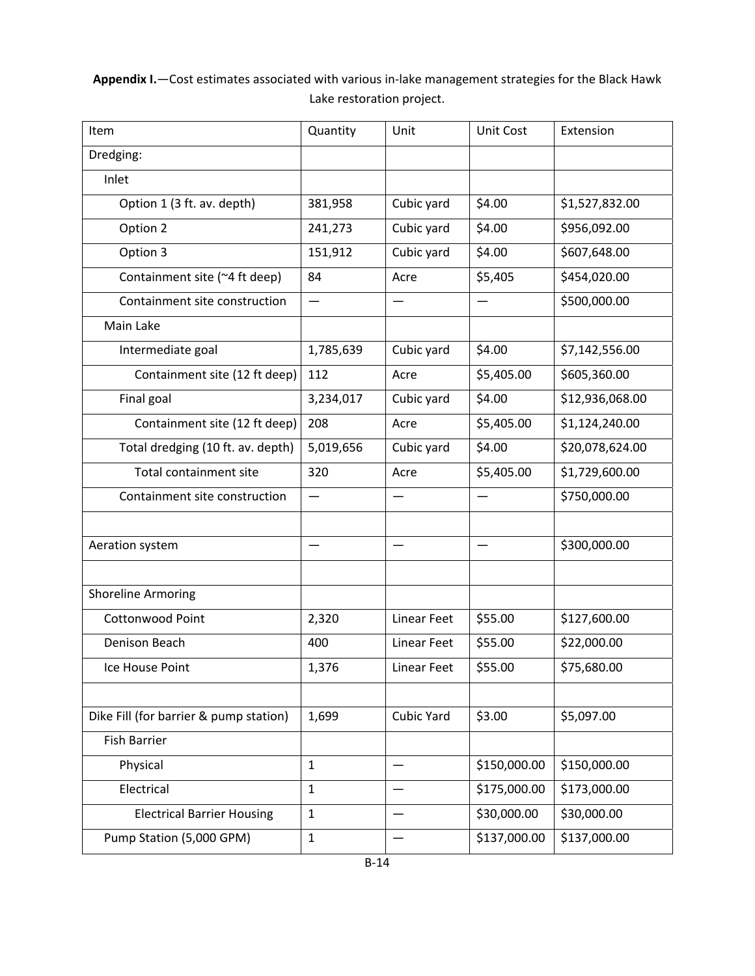**Appendix I.**—Cost estimates associated with various in‐lake management strategies for the Black Hawk Lake restoration project.

| Item                                   | Quantity                 | Unit        | <b>Unit Cost</b> | Extension       |
|----------------------------------------|--------------------------|-------------|------------------|-----------------|
| Dredging:                              |                          |             |                  |                 |
| Inlet                                  |                          |             |                  |                 |
| Option 1 (3 ft. av. depth)             | 381,958                  | Cubic yard  | \$4.00           | \$1,527,832.00  |
| Option 2                               | 241,273                  | Cubic yard  | \$4.00           | \$956,092.00    |
| Option 3                               | 151,912                  | Cubic yard  | \$4.00           | \$607,648.00    |
| Containment site (~4 ft deep)          | 84                       | Acre        | \$5,405          | \$454,020.00    |
| Containment site construction          | $\overline{\phantom{0}}$ |             |                  | \$500,000.00    |
| Main Lake                              |                          |             |                  |                 |
| Intermediate goal                      | 1,785,639                | Cubic yard  | \$4.00           | \$7,142,556.00  |
| Containment site (12 ft deep)          | 112                      | Acre        | \$5,405.00       | \$605,360.00    |
| Final goal                             | 3,234,017                | Cubic yard  | \$4.00           | \$12,936,068.00 |
| Containment site (12 ft deep)          | 208                      | Acre        | \$5,405.00       | \$1,124,240.00  |
| Total dredging (10 ft. av. depth)      | 5,019,656                | Cubic yard  | \$4.00           | \$20,078,624.00 |
| Total containment site                 | 320                      | Acre        | \$5,405.00       | \$1,729,600.00  |
| Containment site construction          |                          |             |                  | \$750,000.00    |
|                                        |                          |             |                  |                 |
| Aeration system                        |                          |             |                  | \$300,000.00    |
|                                        |                          |             |                  |                 |
| <b>Shoreline Armoring</b>              |                          |             |                  |                 |
| <b>Cottonwood Point</b>                | 2,320                    | Linear Feet | \$55.00          | \$127,600.00    |
| Denison Beach                          | 400                      | Linear Feet | \$55.00          | \$22,000.00     |
| Ice House Point                        | 1,376                    | Linear Feet | \$55.00          | \$75,680.00     |
|                                        |                          |             |                  |                 |
| Dike Fill (for barrier & pump station) | 1,699                    | Cubic Yard  | \$3.00           | \$5,097.00      |
| Fish Barrier                           |                          |             |                  |                 |
| Physical                               | $\mathbf{1}$             | —           | \$150,000.00     | \$150,000.00    |
| Electrical                             | $\mathbf{1}$             |             | \$175,000.00     | \$173,000.00    |
| <b>Electrical Barrier Housing</b>      | $\mathbf{1}$             |             | \$30,000.00      | \$30,000.00     |
| Pump Station (5,000 GPM)               | $\mathbf{1}$             |             | \$137,000.00     | \$137,000.00    |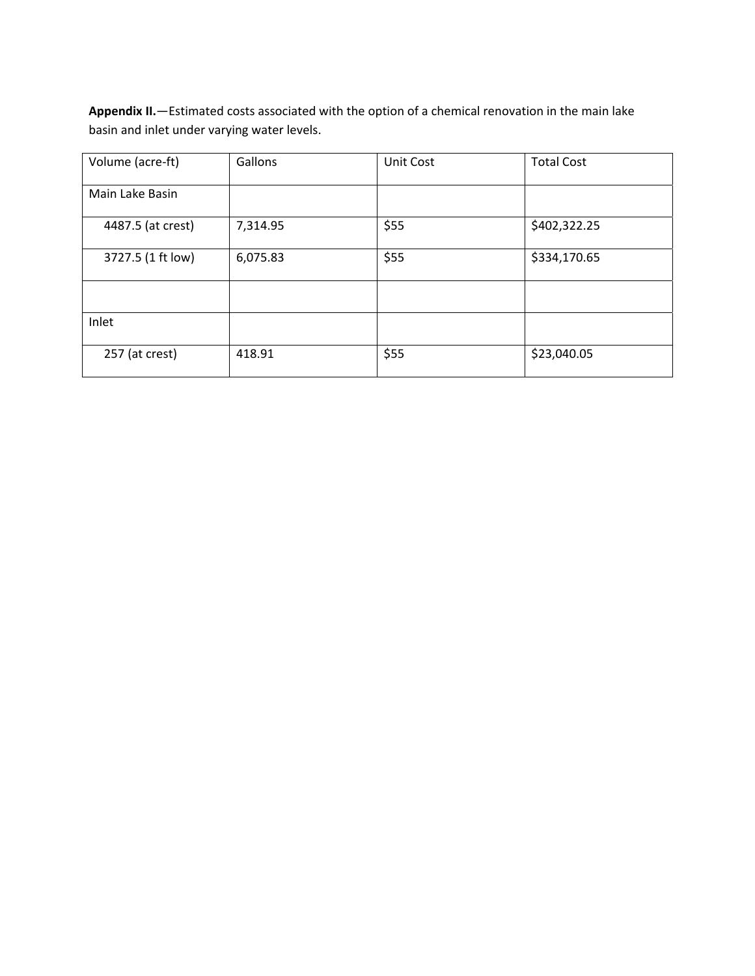**Appendix II.**—Estimated costs associated with the option of a chemical renovation in the main lake basin and inlet under varying water levels.

| Volume (acre-ft)  | Gallons  | Unit Cost | <b>Total Cost</b> |
|-------------------|----------|-----------|-------------------|
| Main Lake Basin   |          |           |                   |
| 4487.5 (at crest) | 7,314.95 | \$55      | \$402,322.25      |
| 3727.5 (1 ft low) | 6,075.83 | \$55      | \$334,170.65      |
|                   |          |           |                   |
| Inlet             |          |           |                   |
| 257 (at crest)    | 418.91   | \$55      | \$23,040.05       |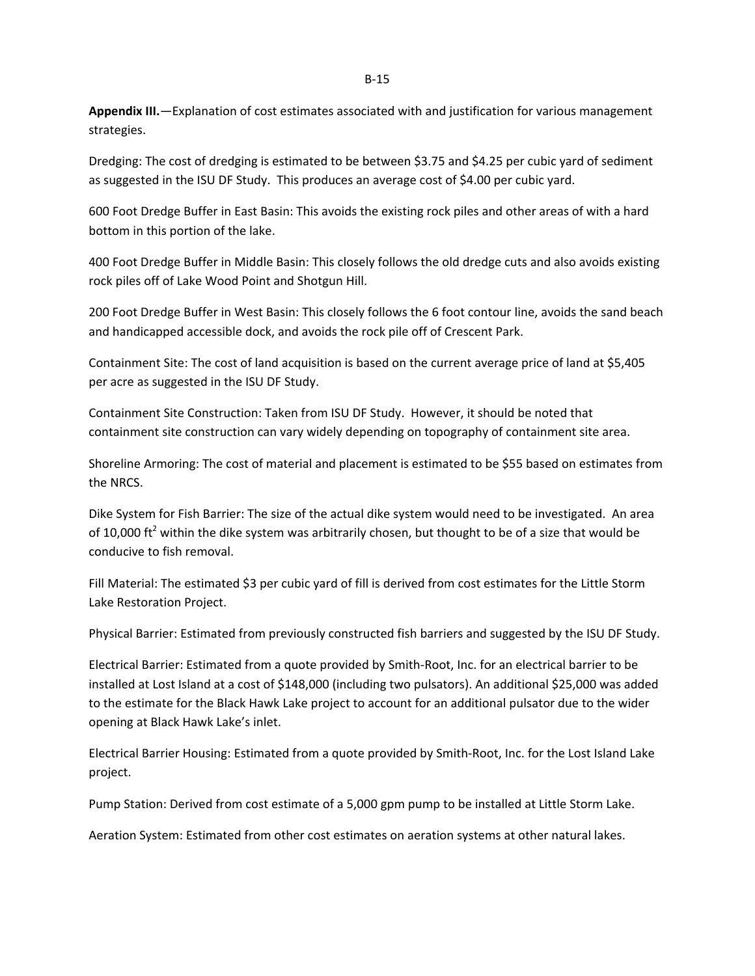B‐15

**Appendix III.**—Explanation of cost estimates associated with and justification for various management strategies.

Dredging: The cost of dredging is estimated to be between \$3.75 and \$4.25 per cubic yard of sediment as suggested in the ISU DF Study. This produces an average cost of \$4.00 per cubic yard.

600 Foot Dredge Buffer in East Basin: This avoids the existing rock piles and other areas of with a hard bottom in this portion of the lake.

400 Foot Dredge Buffer in Middle Basin: This closely follows the old dredge cuts and also avoids existing rock piles off of Lake Wood Point and Shotgun Hill.

200 Foot Dredge Buffer in West Basin: This closely follows the 6 foot contour line, avoids the sand beach and handicapped accessible dock, and avoids the rock pile off of Crescent Park.

Containment Site: The cost of land acquisition is based on the current average price of land at \$5,405 per acre as suggested in the ISU DF Study.

Containment Site Construction: Taken from ISU DF Study. However, it should be noted that containment site construction can vary widely depending on topography of containment site area.

Shoreline Armoring: The cost of material and placement is estimated to be \$55 based on estimates from the NRCS.

Dike System for Fish Barrier: The size of the actual dike system would need to be investigated. An area of 10,000 ft<sup>2</sup> within the dike system was arbitrarily chosen, but thought to be of a size that would be conducive to fish removal.

Fill Material: The estimated \$3 per cubic yard of fill is derived from cost estimates for the Little Storm Lake Restoration Project.

Physical Barrier: Estimated from previously constructed fish barriers and suggested by the ISU DF Study.

Electrical Barrier: Estimated from a quote provided by Smith‐Root, Inc. for an electrical barrier to be installed at Lost Island at a cost of \$148,000 (including two pulsators). An additional \$25,000 was added to the estimate for the Black Hawk Lake project to account for an additional pulsator due to the wider opening at Black Hawk Lake's inlet.

Electrical Barrier Housing: Estimated from a quote provided by Smith‐Root, Inc. for the Lost Island Lake project.

Pump Station: Derived from cost estimate of a 5,000 gpm pump to be installed at Little Storm Lake.

Aeration System: Estimated from other cost estimates on aeration systems at other natural lakes.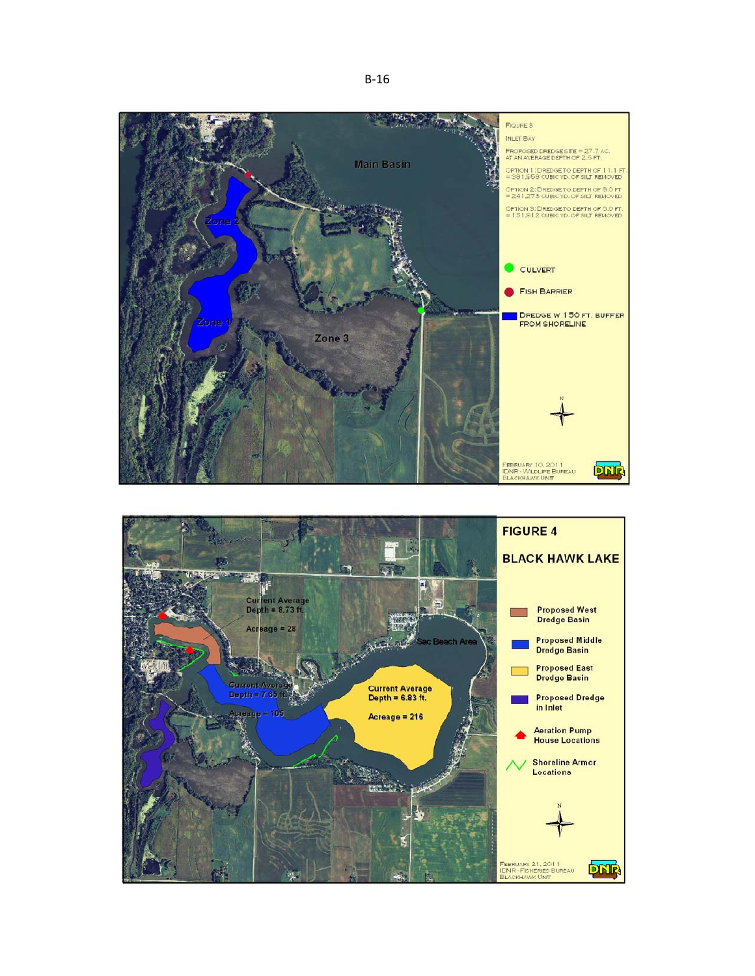



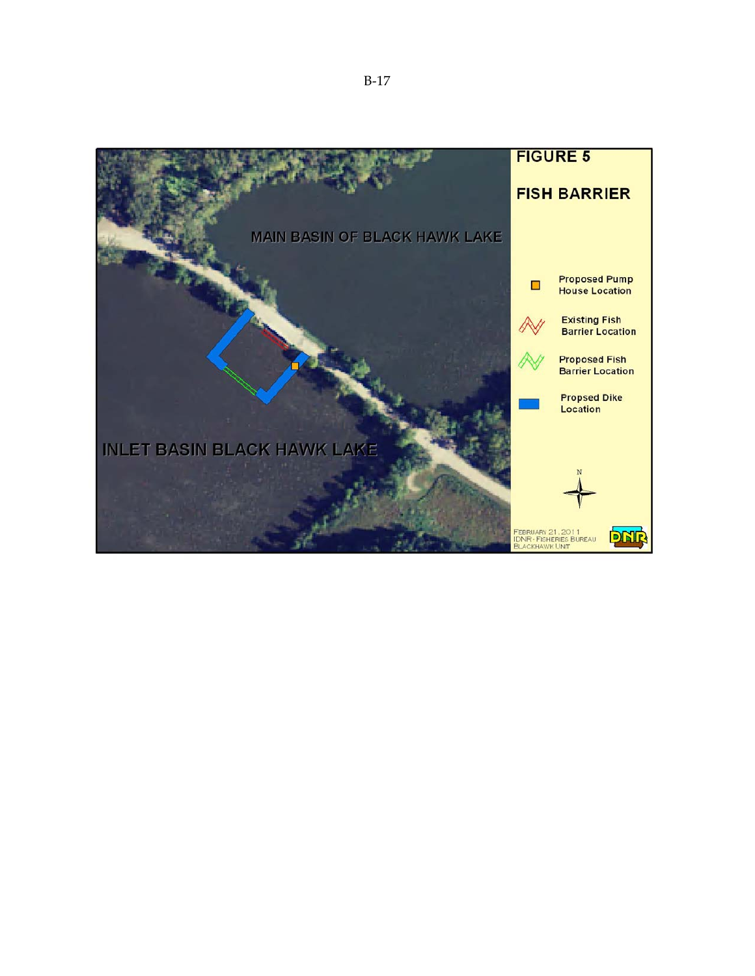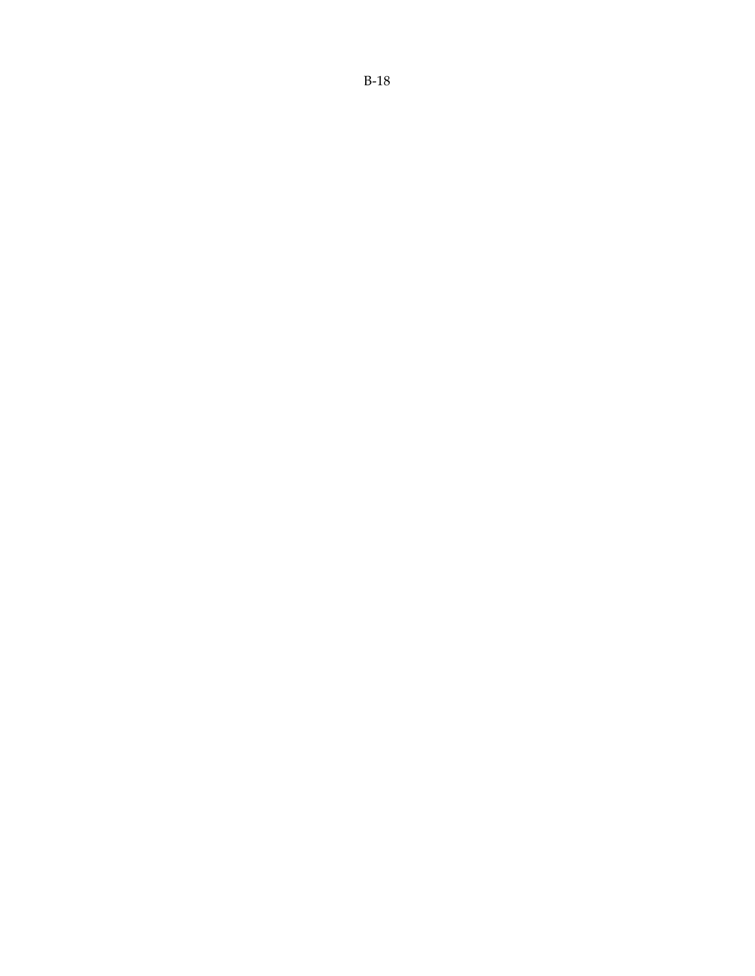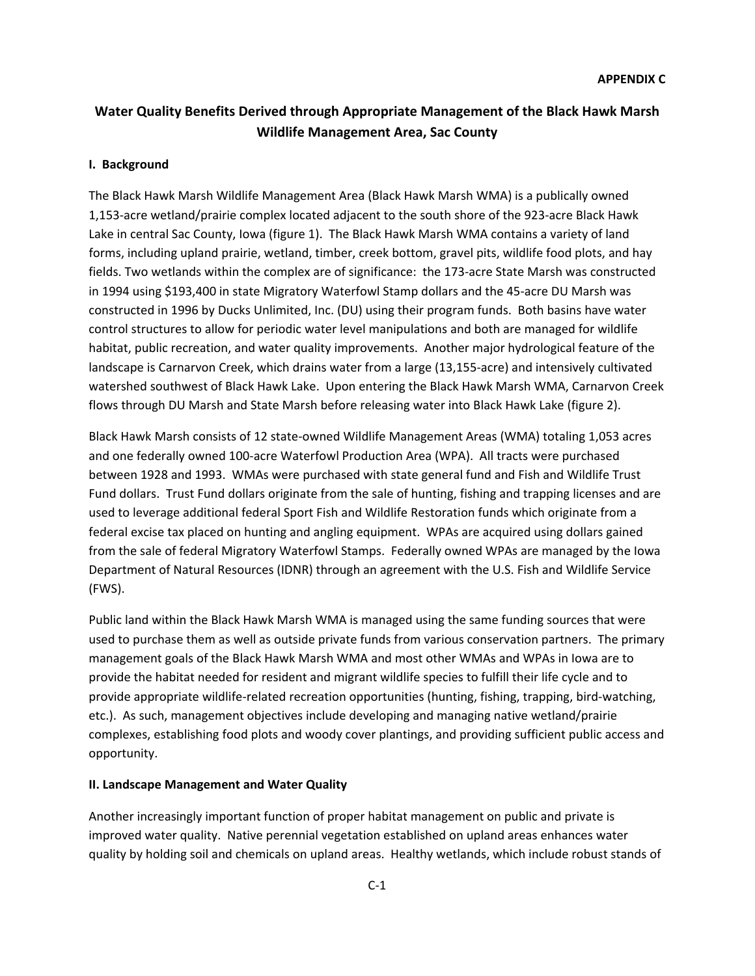# **Water Quality Benefits Derived through Appropriate Management of the Black Hawk Marsh Wildlife Management Area, Sac County**

#### **I. Background**

The Black Hawk Marsh Wildlife Management Area (Black Hawk Marsh WMA) is a publically owned 1,153‐acre wetland/prairie complex located adjacent to the south shore of the 923‐acre Black Hawk Lake in central Sac County, Iowa (figure 1). The Black Hawk Marsh WMA contains a variety of land forms, including upland prairie, wetland, timber, creek bottom, gravel pits, wildlife food plots, and hay fields. Two wetlands within the complex are of significance: the 173‐acre State Marsh was constructed in 1994 using \$193,400 in state Migratory Waterfowl Stamp dollars and the 45-acre DU Marsh was constructed in 1996 by Ducks Unlimited, Inc. (DU) using their program funds. Both basins have water control structures to allow for periodic water level manipulations and both are managed for wildlife habitat, public recreation, and water quality improvements. Another major hydrological feature of the landscape is Carnarvon Creek, which drains water from a large (13,155‐acre) and intensively cultivated watershed southwest of Black Hawk Lake. Upon entering the Black Hawk Marsh WMA, Carnarvon Creek flows through DU Marsh and State Marsh before releasing water into Black Hawk Lake (figure 2).

Black Hawk Marsh consists of 12 state‐owned Wildlife Management Areas (WMA) totaling 1,053 acres and one federally owned 100‐acre Waterfowl Production Area (WPA). All tracts were purchased between 1928 and 1993. WMAs were purchased with state general fund and Fish and Wildlife Trust Fund dollars. Trust Fund dollars originate from the sale of hunting, fishing and trapping licenses and are used to leverage additional federal Sport Fish and Wildlife Restoration funds which originate from a federal excise tax placed on hunting and angling equipment. WPAs are acquired using dollars gained from the sale of federal Migratory Waterfowl Stamps. Federally owned WPAs are managed by the Iowa Department of Natural Resources (IDNR) through an agreement with the U.S. Fish and Wildlife Service (FWS).

Public land within the Black Hawk Marsh WMA is managed using the same funding sources that were used to purchase them as well as outside private funds from various conservation partners. The primary management goals of the Black Hawk Marsh WMA and most other WMAs and WPAs in Iowa are to provide the habitat needed for resident and migrant wildlife species to fulfill their life cycle and to provide appropriate wildlife‐related recreation opportunities (hunting, fishing, trapping, bird‐watching, etc.). As such, management objectives include developing and managing native wetland/prairie complexes, establishing food plots and woody cover plantings, and providing sufficient public access and opportunity.

#### **II. Landscape Management and Water Quality**

Another increasingly important function of proper habitat management on public and private is improved water quality. Native perennial vegetation established on upland areas enhances water quality by holding soil and chemicals on upland areas. Healthy wetlands, which include robust stands of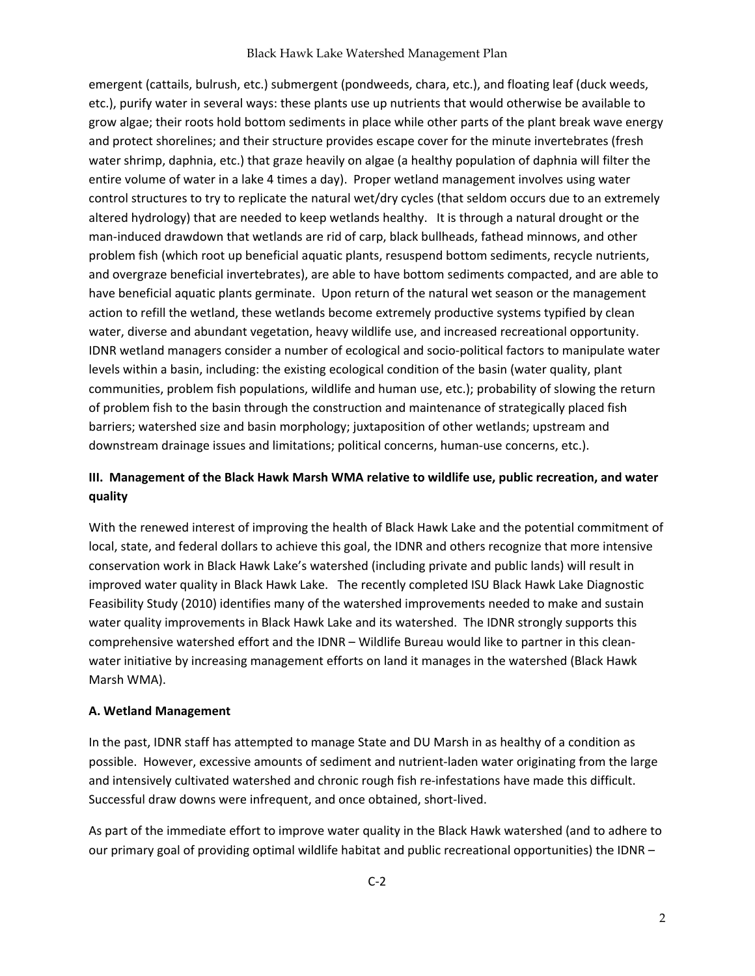emergent (cattails, bulrush, etc.) submergent (pondweeds, chara, etc.), and floating leaf (duck weeds, etc.), purify water in several ways: these plants use up nutrients that would otherwise be available to grow algae; their roots hold bottom sediments in place while other parts of the plant break wave energy and protect shorelines; and their structure provides escape cover for the minute invertebrates (fresh water shrimp, daphnia, etc.) that graze heavily on algae (a healthy population of daphnia will filter the entire volume of water in a lake 4 times a day). Proper wetland management involves using water control structures to try to replicate the natural wet/dry cycles (that seldom occurs due to an extremely altered hydrology) that are needed to keep wetlands healthy. It is through a natural drought or the man-induced drawdown that wetlands are rid of carp, black bullheads, fathead minnows, and other problem fish (which root up beneficial aquatic plants, resuspend bottom sediments, recycle nutrients, and overgraze beneficial invertebrates), are able to have bottom sediments compacted, and are able to have beneficial aquatic plants germinate. Upon return of the natural wet season or the management action to refill the wetland, these wetlands become extremely productive systems typified by clean water, diverse and abundant vegetation, heavy wildlife use, and increased recreational opportunity. IDNR wetland managers consider a number of ecological and socio‐political factors to manipulate water levels within a basin, including: the existing ecological condition of the basin (water quality, plant communities, problem fish populations, wildlife and human use, etc.); probability of slowing the return of problem fish to the basin through the construction and maintenance of strategically placed fish barriers; watershed size and basin morphology; juxtaposition of other wetlands; upstream and downstream drainage issues and limitations; political concerns, human‐use concerns, etc.).

# **III. Management of the Black Hawk Marsh WMA relative to wildlife use, public recreation, and water quality**

With the renewed interest of improving the health of Black Hawk Lake and the potential commitment of local, state, and federal dollars to achieve this goal, the IDNR and others recognize that more intensive conservation work in Black Hawk Lake's watershed (including private and public lands) will result in improved water quality in Black Hawk Lake. The recently completed ISU Black Hawk Lake Diagnostic Feasibility Study (2010) identifies many of the watershed improvements needed to make and sustain water quality improvements in Black Hawk Lake and its watershed. The IDNR strongly supports this comprehensive watershed effort and the IDNR – Wildlife Bureau would like to partner in this cleanwater initiative by increasing management efforts on land it manages in the watershed (Black Hawk Marsh WMA).

# **A. Wetland Management**

In the past, IDNR staff has attempted to manage State and DU Marsh in as healthy of a condition as possible. However, excessive amounts of sediment and nutrient‐laden water originating from the large and intensively cultivated watershed and chronic rough fish re-infestations have made this difficult. Successful draw downs were infrequent, and once obtained, short‐lived.

As part of the immediate effort to improve water quality in the Black Hawk watershed (and to adhere to our primary goal of providing optimal wildlife habitat and public recreational opportunities) the IDNR –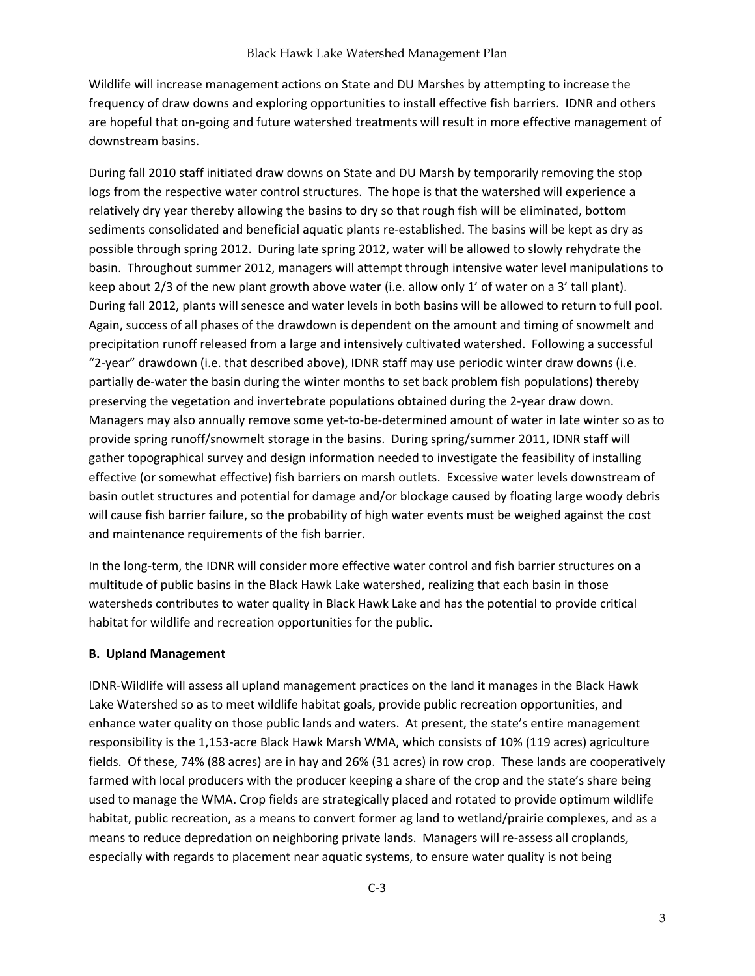Wildlife will increase management actions on State and DU Marshes by attempting to increase the frequency of draw downs and exploring opportunities to install effective fish barriers. IDNR and others are hopeful that on‐going and future watershed treatments will result in more effective management of downstream basins.

During fall 2010 staff initiated draw downs on State and DU Marsh by temporarily removing the stop logs from the respective water control structures. The hope is that the watershed will experience a relatively dry year thereby allowing the basins to dry so that rough fish will be eliminated, bottom sediments consolidated and beneficial aquatic plants re‐established. The basins will be kept as dry as possible through spring 2012. During late spring 2012, water will be allowed to slowly rehydrate the basin. Throughout summer 2012, managers will attempt through intensive water level manipulations to keep about 2/3 of the new plant growth above water (i.e. allow only 1' of water on a 3' tall plant). During fall 2012, plants will senesce and water levels in both basins will be allowed to return to full pool. Again, success of all phases of the drawdown is dependent on the amount and timing of snowmelt and precipitation runoff released from a large and intensively cultivated watershed. Following a successful "2‐year" drawdown (i.e. that described above), IDNR staff may use periodic winter draw downs (i.e. partially de‐water the basin during the winter months to set back problem fish populations) thereby preserving the vegetation and invertebrate populations obtained during the 2‐year draw down. Managers may also annually remove some yet-to-be-determined amount of water in late winter so as to provide spring runoff/snowmelt storage in the basins. During spring/summer 2011, IDNR staff will gather topographical survey and design information needed to investigate the feasibility of installing effective (or somewhat effective) fish barriers on marsh outlets. Excessive water levels downstream of basin outlet structures and potential for damage and/or blockage caused by floating large woody debris will cause fish barrier failure, so the probability of high water events must be weighed against the cost and maintenance requirements of the fish barrier.

In the long‐term, the IDNR will consider more effective water control and fish barrier structures on a multitude of public basins in the Black Hawk Lake watershed, realizing that each basin in those watersheds contributes to water quality in Black Hawk Lake and has the potential to provide critical habitat for wildlife and recreation opportunities for the public.

# **B. Upland Management**

IDNR‐Wildlife will assess all upland management practices on the land it manages in the Black Hawk Lake Watershed so as to meet wildlife habitat goals, provide public recreation opportunities, and enhance water quality on those public lands and waters. At present, the state's entire management responsibility is the 1,153‐acre Black Hawk Marsh WMA, which consists of 10% (119 acres) agriculture fields. Of these, 74% (88 acres) are in hay and 26% (31 acres) in row crop. These lands are cooperatively farmed with local producers with the producer keeping a share of the crop and the state's share being used to manage the WMA. Crop fields are strategically placed and rotated to provide optimum wildlife habitat, public recreation, as a means to convert former ag land to wetland/prairie complexes, and as a means to reduce depredation on neighboring private lands. Managers will re-assess all croplands, especially with regards to placement near aquatic systems, to ensure water quality is not being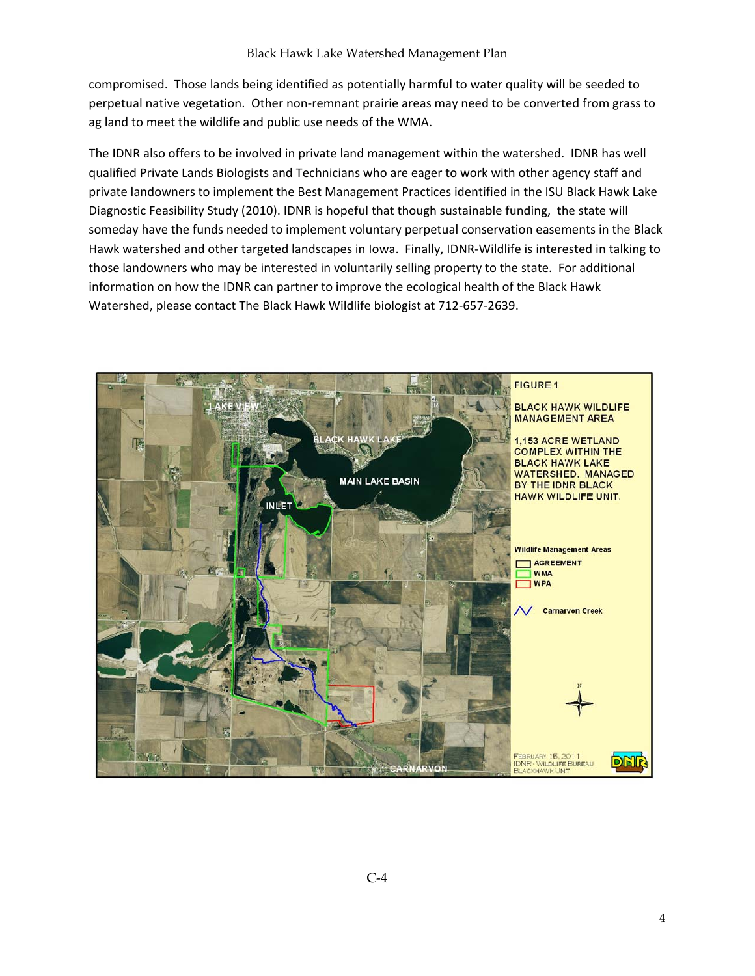compromised. Those lands being identified as potentially harmful to water quality will be seeded to perpetual native vegetation. Other non‐remnant prairie areas may need to be converted from grass to ag land to meet the wildlife and public use needs of the WMA.

The IDNR also offers to be involved in private land management within the watershed. IDNR has well qualified Private Lands Biologists and Technicians who are eager to work with other agency staff and private landowners to implement the Best Management Practices identified in the ISU Black Hawk Lake Diagnostic Feasibility Study (2010). IDNR is hopeful that though sustainable funding, the state will someday have the funds needed to implement voluntary perpetual conservation easements in the Black Hawk watershed and other targeted landscapes in Iowa. Finally, IDNR‐Wildlife is interested in talking to those landowners who may be interested in voluntarily selling property to the state. For additional information on how the IDNR can partner to improve the ecological health of the Black Hawk Watershed, please contact The Black Hawk Wildlife biologist at 712‐657‐2639.